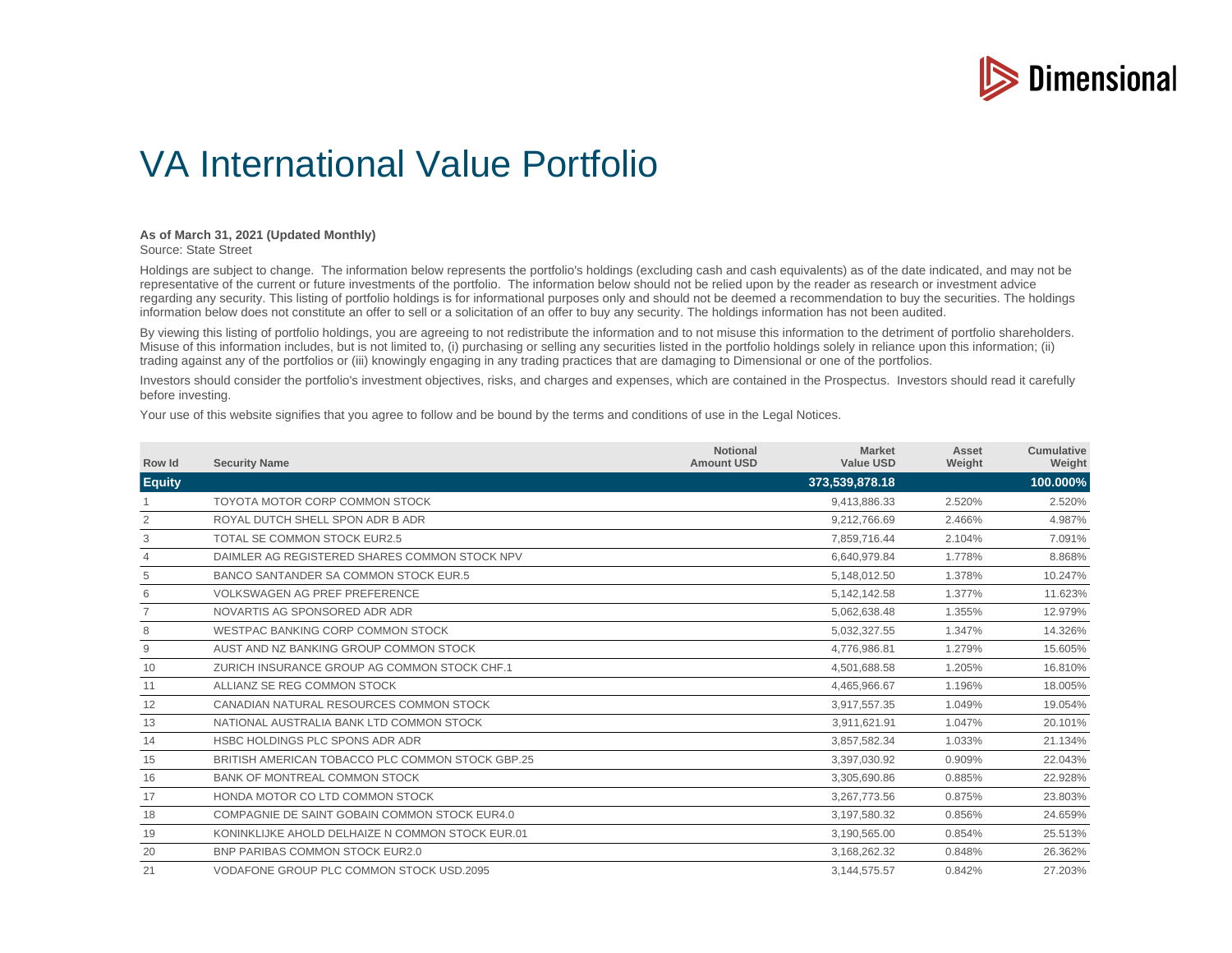

## VA International Value Portfolio

## **As of March 31, 2021 (Updated Monthly)**

Source: State Street

Holdings are subject to change. The information below represents the portfolio's holdings (excluding cash and cash equivalents) as of the date indicated, and may not be representative of the current or future investments of the portfolio. The information below should not be relied upon by the reader as research or investment advice regarding any security. This listing of portfolio holdings is for informational purposes only and should not be deemed a recommendation to buy the securities. The holdings information below does not constitute an offer to sell or a solicitation of an offer to buy any security. The holdings information has not been audited.

By viewing this listing of portfolio holdings, you are agreeing to not redistribute the information and to not misuse this information to the detriment of portfolio shareholders. Misuse of this information includes, but is not limited to, (i) purchasing or selling any securities listed in the portfolio holdings solely in reliance upon this information; (ii) trading against any of the portfolios or (iii) knowingly engaging in any trading practices that are damaging to Dimensional or one of the portfolios.

Investors should consider the portfolio's investment objectives, risks, and charges and expenses, which are contained in the Prospectus. Investors should read it carefully before investing.

Your use of this website signifies that you agree to follow and be bound by the terms and conditions of use in the Legal Notices.

| Row Id         | <b>Security Name</b>                             | <b>Notional</b><br><b>Amount USD</b> | <b>Market</b><br><b>Value USD</b> | Asset<br>Weight | <b>Cumulative</b><br>Weight |
|----------------|--------------------------------------------------|--------------------------------------|-----------------------------------|-----------------|-----------------------------|
| <b>Equity</b>  |                                                  |                                      | 373,539,878.18                    |                 | 100.000%                    |
|                | TOYOTA MOTOR CORP COMMON STOCK                   |                                      | 9,413,886.33                      | 2.520%          | 2.520%                      |
| 2              | ROYAL DUTCH SHELL SPON ADR B ADR                 |                                      | 9.212.766.69                      | 2.466%          | 4.987%                      |
| 3              | TOTAL SE COMMON STOCK EUR2.5                     |                                      | 7,859,716.44                      | 2.104%          | 7.091%                      |
| $\overline{4}$ | DAIMLER AG REGISTERED SHARES COMMON STOCK NPV    |                                      | 6,640,979.84                      | 1.778%          | 8.868%                      |
| 5              | BANCO SANTANDER SA COMMON STOCK EUR.5            |                                      | 5,148,012.50                      | 1.378%          | 10.247%                     |
| 6              | <b>VOLKSWAGEN AG PREF PREFERENCE</b>             |                                      | 5, 142, 142. 58                   | 1.377%          | 11.623%                     |
|                | NOVARTIS AG SPONSORED ADR ADR                    |                                      | 5,062,638.48                      | 1.355%          | 12.979%                     |
| 8              | WESTPAC BANKING CORP COMMON STOCK                |                                      | 5,032,327.55                      | 1.347%          | 14.326%                     |
| 9              | AUST AND NZ BANKING GROUP COMMON STOCK           |                                      | 4,776,986.81                      | 1.279%          | 15.605%                     |
| 10             | ZURICH INSURANCE GROUP AG COMMON STOCK CHF.1     |                                      | 4,501,688.58                      | 1.205%          | 16.810%                     |
| 11             | ALLIANZ SE REG COMMON STOCK                      |                                      | 4,465,966.67                      | 1.196%          | 18.005%                     |
| 12             | CANADIAN NATURAL RESOURCES COMMON STOCK          |                                      | 3,917,557.35                      | 1.049%          | 19.054%                     |
| 13             | NATIONAL AUSTRALIA BANK LTD COMMON STOCK         |                                      | 3,911,621.91                      | 1.047%          | 20.101%                     |
| 14             | HSBC HOLDINGS PLC SPONS ADR ADR                  |                                      | 3,857,582.34                      | 1.033%          | 21.134%                     |
| 15             | BRITISH AMERICAN TOBACCO PLC COMMON STOCK GBP 25 |                                      | 3,397,030.92                      | 0.909%          | 22.043%                     |
| 16             | BANK OF MONTREAL COMMON STOCK                    |                                      | 3,305,690.86                      | 0.885%          | 22.928%                     |
| 17             | HONDA MOTOR CO LTD COMMON STOCK                  |                                      | 3,267,773.56                      | 0.875%          | 23.803%                     |
| 18             | COMPAGNIE DE SAINT GOBAIN COMMON STOCK EUR4.0    |                                      | 3,197,580.32                      | 0.856%          | 24.659%                     |
| 19             | KONINKLIJKE AHOLD DELHAIZE N COMMON STOCK EUR 01 |                                      | 3,190,565.00                      | 0.854%          | 25.513%                     |
| 20             | BNP PARIBAS COMMON STOCK EUR2.0                  |                                      | 3,168,262.32                      | 0.848%          | 26.362%                     |
| 21             | VODAFONE GROUP PLC COMMON STOCK USD.2095         |                                      | 3,144,575.57                      | 0.842%          | 27.203%                     |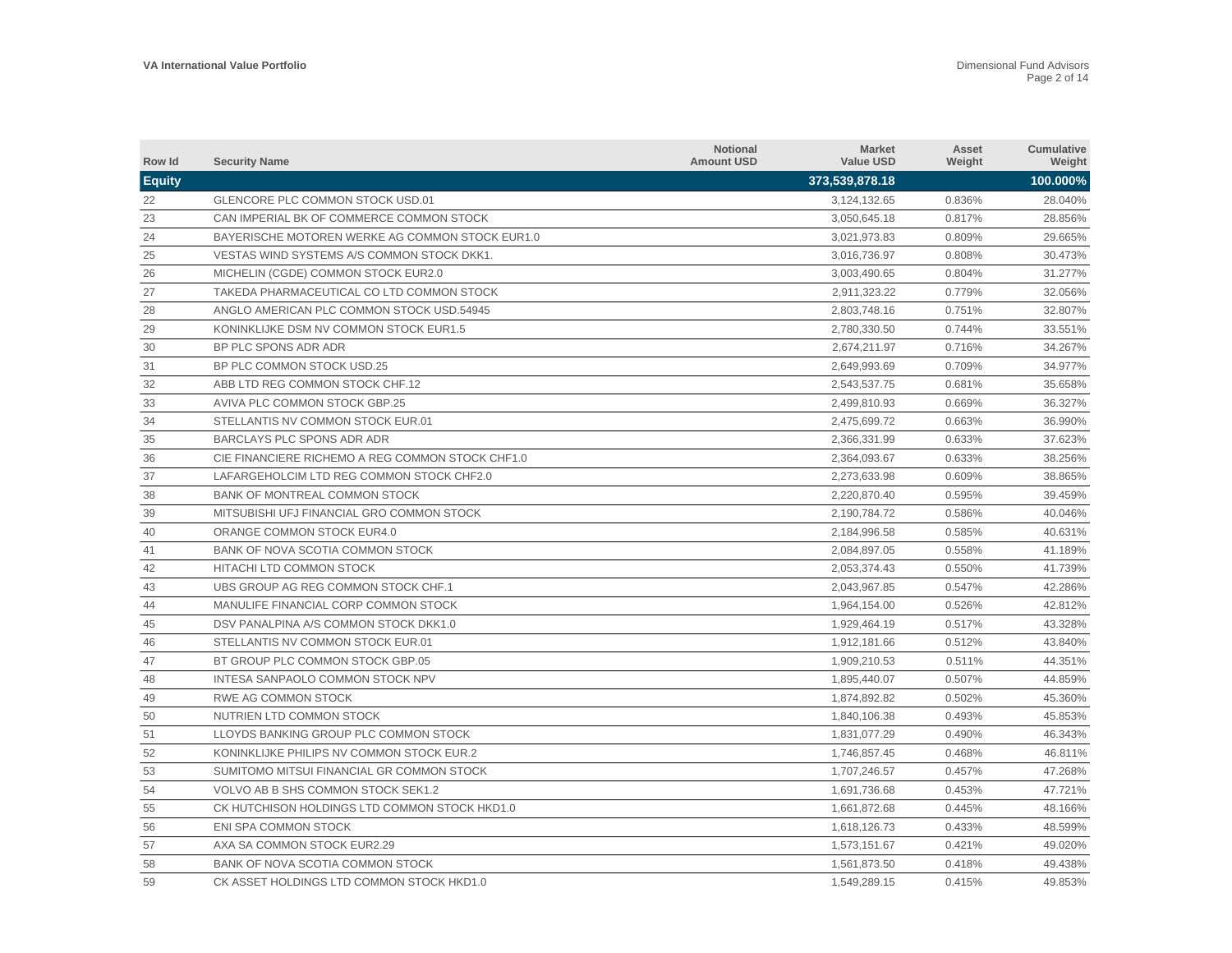| Row Id        | <b>Security Name</b>                             | <b>Notional</b><br><b>Amount USD</b> | <b>Market</b><br><b>Value USD</b> | Asset<br>Weight | Cumulative<br>Weight |
|---------------|--------------------------------------------------|--------------------------------------|-----------------------------------|-----------------|----------------------|
| <b>Equity</b> |                                                  |                                      | 373,539,878.18                    |                 | 100.000%             |
| 22            | GLENCORE PLC COMMON STOCK USD.01                 |                                      | 3,124,132.65                      | 0.836%          | 28.040%              |
| 23            | CAN IMPERIAL BK OF COMMERCE COMMON STOCK         |                                      | 3,050,645.18                      | 0.817%          | 28.856%              |
| 24            | BAYERISCHE MOTOREN WERKE AG COMMON STOCK EUR1.0  |                                      | 3,021,973.83                      | 0.809%          | 29.665%              |
| 25            | VESTAS WIND SYSTEMS A/S COMMON STOCK DKK1.       |                                      | 3,016,736.97                      | 0.808%          | 30.473%              |
| 26            | MICHELIN (CGDE) COMMON STOCK EUR2.0              |                                      | 3,003,490.65                      | 0.804%          | 31.277%              |
| 27            | TAKEDA PHARMACEUTICAL CO LTD COMMON STOCK        |                                      | 2,911,323.22                      | 0.779%          | 32.056%              |
| 28            | ANGLO AMERICAN PLC COMMON STOCK USD.54945        |                                      | 2,803,748.16                      | 0.751%          | 32.807%              |
| 29            | KONINKLIJKE DSM NV COMMON STOCK EUR1.5           |                                      | 2,780,330.50                      | 0.744%          | 33.551%              |
| 30            | BP PLC SPONS ADR ADR                             |                                      | 2,674,211.97                      | 0.716%          | 34.267%              |
| 31            | BP PLC COMMON STOCK USD.25                       |                                      | 2,649,993.69                      | 0.709%          | 34.977%              |
| 32            | ABB LTD REG COMMON STOCK CHF.12                  |                                      | 2,543,537.75                      | 0.681%          | 35.658%              |
| 33            | AVIVA PLC COMMON STOCK GBP.25                    |                                      | 2,499,810.93                      | 0.669%          | 36.327%              |
| 34            | STELLANTIS NV COMMON STOCK EUR.01                |                                      | 2,475,699.72                      | 0.663%          | 36.990%              |
| 35            | BARCLAYS PLC SPONS ADR ADR                       |                                      | 2,366,331.99                      | 0.633%          | 37.623%              |
| 36            | CIE FINANCIERE RICHEMO A REG COMMON STOCK CHF1.0 |                                      | 2,364,093.67                      | 0.633%          | 38.256%              |
| 37            | LAFARGEHOLCIM LTD REG COMMON STOCK CHF2.0        |                                      | 2,273,633.98                      | 0.609%          | 38.865%              |
| 38            | BANK OF MONTREAL COMMON STOCK                    |                                      | 2,220,870.40                      | 0.595%          | 39.459%              |
| 39            | MITSUBISHI UFJ FINANCIAL GRO COMMON STOCK        |                                      | 2,190,784.72                      | 0.586%          | 40.046%              |
| 40            | ORANGE COMMON STOCK EUR4.0                       |                                      | 2,184,996.58                      | 0.585%          | 40.631%              |
| 41            | BANK OF NOVA SCOTIA COMMON STOCK                 |                                      | 2,084,897.05                      | 0.558%          | 41.189%              |
| 42            | HITACHI LTD COMMON STOCK                         |                                      | 2,053,374.43                      | 0.550%          | 41.739%              |
| 43            | UBS GROUP AG REG COMMON STOCK CHF.1              |                                      | 2,043,967.85                      | 0.547%          | 42.286%              |
| 44            | MANULIFE FINANCIAL CORP COMMON STOCK             |                                      | 1,964,154.00                      | 0.526%          | 42.812%              |
| 45            | DSV PANALPINA A/S COMMON STOCK DKK1.0            |                                      | 1,929,464.19                      | 0.517%          | 43.328%              |
| 46            | STELLANTIS NV COMMON STOCK EUR.01                |                                      | 1,912,181.66                      | 0.512%          | 43.840%              |
| 47            | BT GROUP PLC COMMON STOCK GBP.05                 |                                      | 1,909,210.53                      | 0.511%          | 44.351%              |
| 48            | INTESA SANPAOLO COMMON STOCK NPV                 |                                      | 1,895,440.07                      | 0.507%          | 44.859%              |
| 49            | RWE AG COMMON STOCK                              |                                      | 1.874.892.82                      | 0.502%          | 45.360%              |
| 50            | NUTRIEN LTD COMMON STOCK                         |                                      | 1,840,106.38                      | 0.493%          | 45.853%              |
| 51            | LLOYDS BANKING GROUP PLC COMMON STOCK            |                                      | 1.831.077.29                      | 0.490%          | 46.343%              |
| 52            | KONINKLIJKE PHILIPS NV COMMON STOCK EUR.2        |                                      | 1,746,857.45                      | 0.468%          | 46.811%              |
| 53            | SUMITOMO MITSUI FINANCIAL GR COMMON STOCK        |                                      | 1,707,246.57                      | 0.457%          | 47.268%              |
| 54            | VOLVO AB B SHS COMMON STOCK SEK1.2               |                                      | 1,691,736.68                      | 0.453%          | 47.721%              |
| 55            | CK HUTCHISON HOLDINGS LTD COMMON STOCK HKD1.0    |                                      | 1,661,872.68                      | 0.445%          | 48.166%              |
| 56            | <b>ENI SPA COMMON STOCK</b>                      |                                      | 1,618,126.73                      | 0.433%          | 48.599%              |
| 57            | AXA SA COMMON STOCK EUR2.29                      |                                      | 1,573,151.67                      | 0.421%          | 49.020%              |
| 58            | BANK OF NOVA SCOTIA COMMON STOCK                 |                                      | 1.561.873.50                      | 0.418%          | 49.438%              |
| 59            | CK ASSET HOLDINGS LTD COMMON STOCK HKD1.0        |                                      | 1,549,289.15                      | 0.415%          | 49.853%              |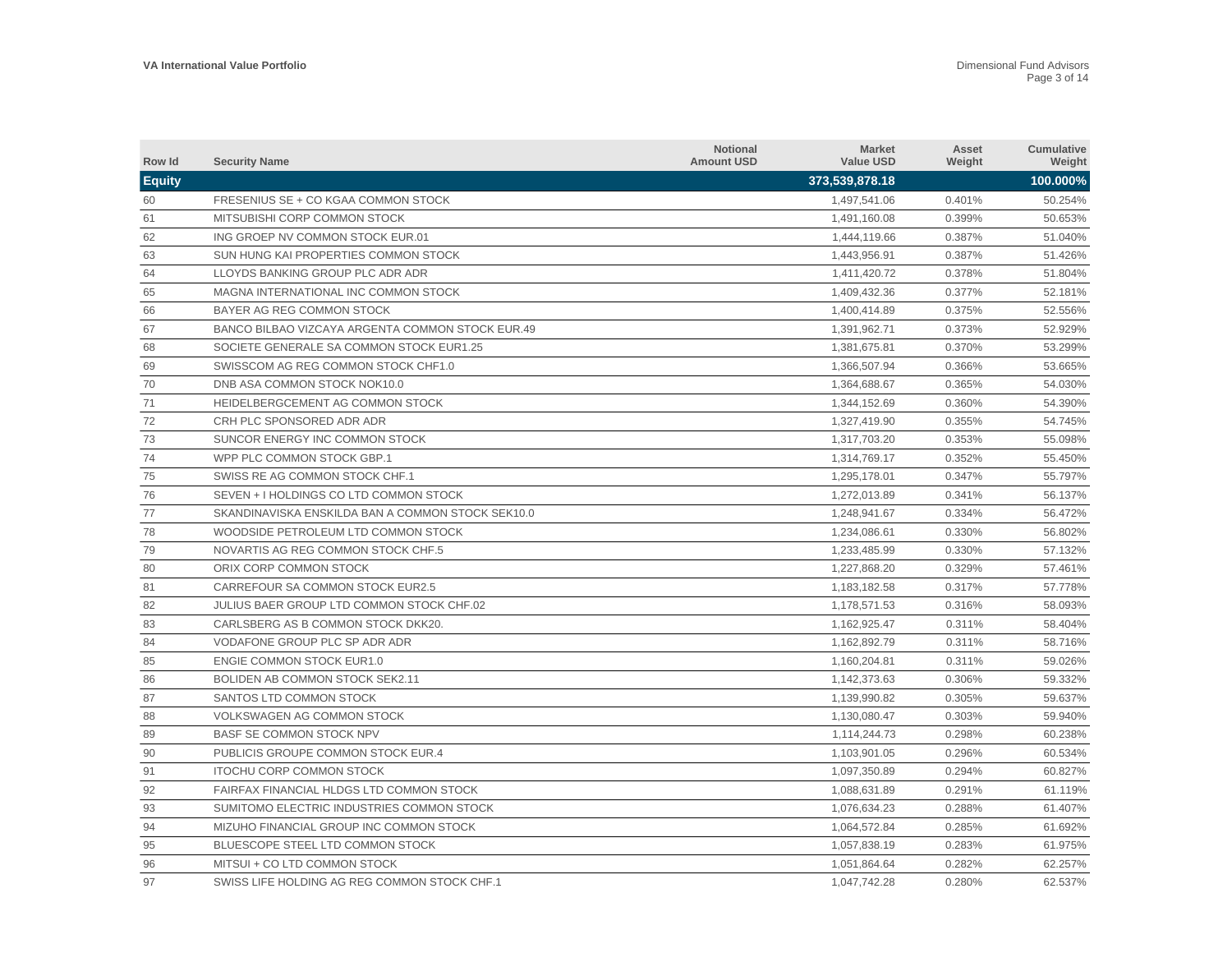| Row Id        | <b>Security Name</b>                              | <b>Notional</b><br><b>Amount USD</b> | <b>Market</b><br><b>Value USD</b> | Asset<br>Weight | Cumulative<br>Weight |
|---------------|---------------------------------------------------|--------------------------------------|-----------------------------------|-----------------|----------------------|
| <b>Equity</b> |                                                   |                                      | 373,539,878.18                    |                 | 100.000%             |
| 60            | FRESENIUS SE + CO KGAA COMMON STOCK               |                                      | 1,497,541.06                      | 0.401%          | 50.254%              |
| 61            | MITSUBISHI CORP COMMON STOCK                      |                                      | 1,491,160.08                      | 0.399%          | 50.653%              |
| 62            | ING GROEP NV COMMON STOCK EUR.01                  |                                      | 1,444,119.66                      | 0.387%          | 51.040%              |
| 63            | SUN HUNG KAI PROPERTIES COMMON STOCK              |                                      | 1,443,956.91                      | 0.387%          | 51.426%              |
| 64            | LLOYDS BANKING GROUP PLC ADR ADR                  |                                      | 1,411,420.72                      | 0.378%          | 51.804%              |
| 65            | MAGNA INTERNATIONAL INC COMMON STOCK              |                                      | 1,409,432.36                      | 0.377%          | 52.181%              |
| 66            | BAYER AG REG COMMON STOCK                         |                                      | 1,400,414.89                      | 0.375%          | 52.556%              |
| 67            | BANCO BILBAO VIZCAYA ARGENTA COMMON STOCK EUR.49  |                                      | 1,391,962.71                      | 0.373%          | 52.929%              |
| 68            | SOCIETE GENERALE SA COMMON STOCK EUR1.25          |                                      | 1,381,675.81                      | 0.370%          | 53.299%              |
| 69            | SWISSCOM AG REG COMMON STOCK CHF1.0               |                                      | 1,366,507.94                      | 0.366%          | 53.665%              |
| 70            | DNB ASA COMMON STOCK NOK10.0                      |                                      | 1,364,688.67                      | 0.365%          | 54.030%              |
| 71            | HEIDELBERGCEMENT AG COMMON STOCK                  |                                      | 1,344,152.69                      | 0.360%          | 54.390%              |
| 72            | CRH PLC SPONSORED ADR ADR                         |                                      | 1,327,419.90                      | 0.355%          | 54.745%              |
| 73            | SUNCOR ENERGY INC COMMON STOCK                    |                                      | 1,317,703.20                      | 0.353%          | 55.098%              |
| 74            | WPP PLC COMMON STOCK GBP.1                        |                                      | 1,314,769.17                      | 0.352%          | 55.450%              |
| 75            | SWISS RE AG COMMON STOCK CHF.1                    |                                      | 1,295,178.01                      | 0.347%          | 55.797%              |
| 76            | SEVEN + I HOLDINGS CO LTD COMMON STOCK            |                                      | 1,272,013.89                      | 0.341%          | 56.137%              |
| 77            | SKANDINAVISKA ENSKILDA BAN A COMMON STOCK SEK10.0 |                                      | 1,248,941.67                      | 0.334%          | 56.472%              |
| 78            | WOODSIDE PETROLEUM LTD COMMON STOCK               |                                      | 1,234,086.61                      | 0.330%          | 56.802%              |
| 79            | NOVARTIS AG REG COMMON STOCK CHF.5                |                                      | 1,233,485.99                      | 0.330%          | 57.132%              |
| 80            | ORIX CORP COMMON STOCK                            |                                      | 1,227,868.20                      | 0.329%          | 57.461%              |
| 81            | CARREFOUR SA COMMON STOCK EUR2.5                  |                                      | 1,183,182.58                      | 0.317%          | 57.778%              |
| 82            | <b>JULIUS BAER GROUP LTD COMMON STOCK CHF.02</b>  |                                      | 1,178,571.53                      | 0.316%          | 58.093%              |
| 83            | CARLSBERG AS B COMMON STOCK DKK20.                |                                      | 1,162,925.47                      | 0.311%          | 58.404%              |
| 84            | VODAFONE GROUP PLC SP ADR ADR                     |                                      | 1,162,892.79                      | 0.311%          | 58.716%              |
| 85            | <b>ENGIE COMMON STOCK EUR1.0</b>                  |                                      | 1,160,204.81                      | 0.311%          | 59.026%              |
| 86            | BOLIDEN AB COMMON STOCK SEK2.11                   |                                      | 1,142,373.63                      | 0.306%          | 59.332%              |
| 87            | SANTOS LTD COMMON STOCK                           |                                      | 1.139.990.82                      | 0.305%          | 59.637%              |
| 88            | VOLKSWAGEN AG COMMON STOCK                        |                                      | 1,130,080.47                      | 0.303%          | 59.940%              |
| 89            | <b>BASF SE COMMON STOCK NPV</b>                   |                                      | 1.114.244.73                      | 0.298%          | 60.238%              |
| 90            | PUBLICIS GROUPE COMMON STOCK EUR.4                |                                      | 1,103,901.05                      | 0.296%          | 60.534%              |
| 91            | <b>ITOCHU CORP COMMON STOCK</b>                   |                                      | 1,097,350.89                      | 0.294%          | 60.827%              |
| 92            | FAIRFAX FINANCIAL HLDGS LTD COMMON STOCK          |                                      | 1,088,631.89                      | 0.291%          | 61.119%              |
| 93            | SUMITOMO ELECTRIC INDUSTRIES COMMON STOCK         |                                      | 1,076,634.23                      | 0.288%          | 61.407%              |
| 94            | MIZUHO FINANCIAL GROUP INC COMMON STOCK           |                                      | 1,064,572.84                      | 0.285%          | 61.692%              |
| 95            | BLUESCOPE STEEL LTD COMMON STOCK                  |                                      | 1,057,838.19                      | 0.283%          | 61.975%              |
| 96            | MITSUI + CO LTD COMMON STOCK                      |                                      | 1.051.864.64                      | 0.282%          | 62.257%              |
| 97            | SWISS LIFE HOLDING AG REG COMMON STOCK CHF.1      |                                      | 1,047,742.28                      | 0.280%          | 62.537%              |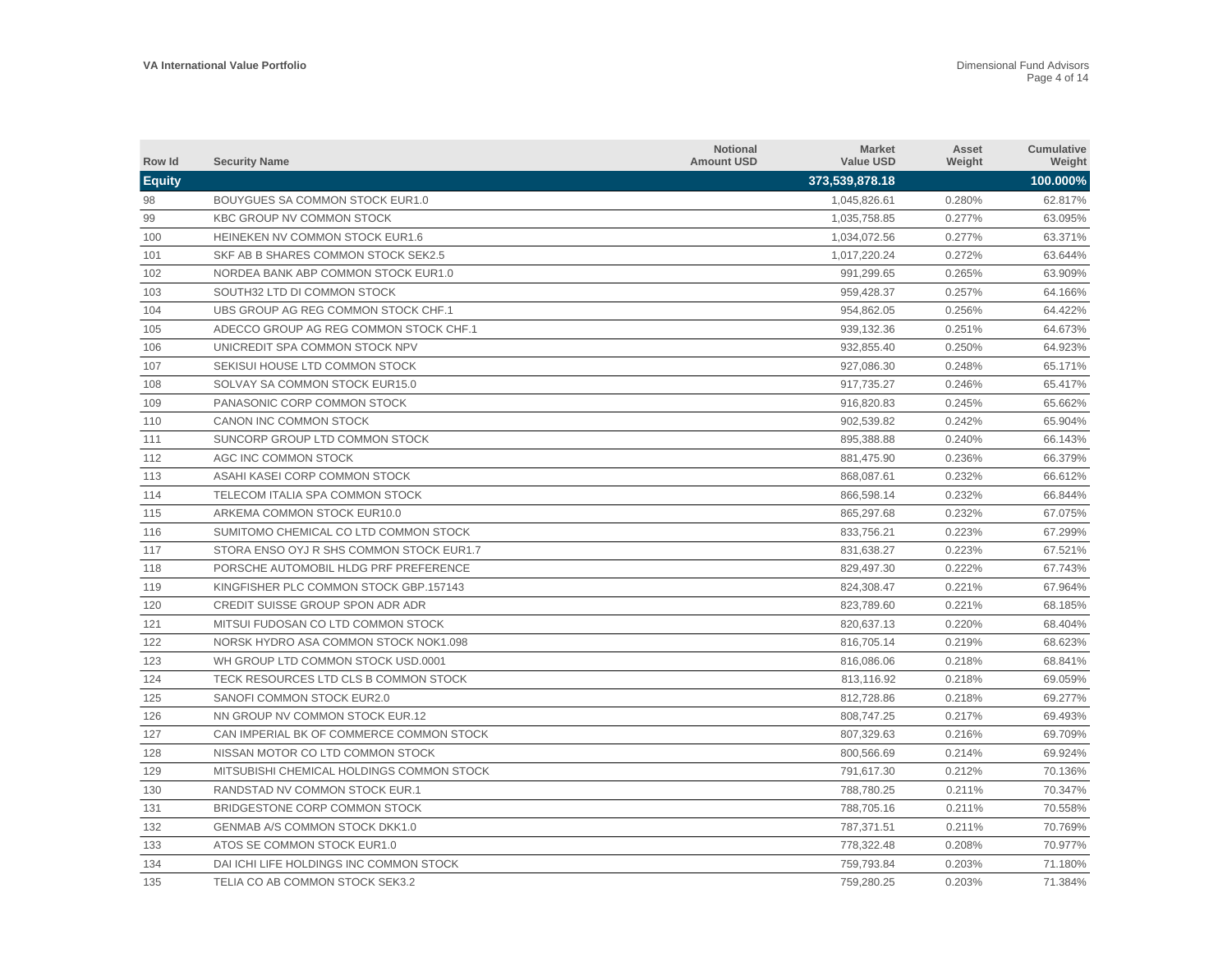| Row Id        | <b>Security Name</b>                      | <b>Notional</b><br><b>Amount USD</b> | <b>Market</b><br><b>Value USD</b> | Asset<br>Weight | <b>Cumulative</b><br>Weight |
|---------------|-------------------------------------------|--------------------------------------|-----------------------------------|-----------------|-----------------------------|
| <b>Equity</b> |                                           |                                      | 373,539,878.18                    |                 | 100.000%                    |
| 98            | BOUYGUES SA COMMON STOCK EUR1.0           |                                      | 1,045,826.61                      | 0.280%          | 62.817%                     |
| 99            | <b>KBC GROUP NV COMMON STOCK</b>          |                                      | 1,035,758.85                      | 0.277%          | 63.095%                     |
| 100           | HEINEKEN NV COMMON STOCK EUR1.6           |                                      | 1,034,072.56                      | 0.277%          | 63.371%                     |
| 101           | SKF AB B SHARES COMMON STOCK SEK2.5       |                                      | 1,017,220.24                      | 0.272%          | 63.644%                     |
| 102           | NORDEA BANK ABP COMMON STOCK EUR1.0       |                                      | 991,299.65                        | 0.265%          | 63.909%                     |
| 103           | SOUTH32 LTD DI COMMON STOCK               |                                      | 959,428.37                        | 0.257%          | 64.166%                     |
| 104           | UBS GROUP AG REG COMMON STOCK CHF.1       |                                      | 954,862.05                        | 0.256%          | 64.422%                     |
| 105           | ADECCO GROUP AG REG COMMON STOCK CHF.1    |                                      | 939.132.36                        | 0.251%          | 64.673%                     |
| 106           | UNICREDIT SPA COMMON STOCK NPV            |                                      | 932.855.40                        | 0.250%          | 64.923%                     |
| 107           | SEKISUI HOUSE LTD COMMON STOCK            |                                      | 927.086.30                        | 0.248%          | 65.171%                     |
| 108           | SOLVAY SA COMMON STOCK EUR15.0            |                                      | 917,735.27                        | 0.246%          | 65.417%                     |
| 109           | PANASONIC CORP COMMON STOCK               |                                      | 916,820.83                        | 0.245%          | 65.662%                     |
| 110           | CANON INC COMMON STOCK                    |                                      | 902,539.82                        | 0.242%          | 65.904%                     |
| 111           | SUNCORP GROUP LTD COMMON STOCK            |                                      | 895,388.88                        | 0.240%          | 66.143%                     |
| 112           | AGC INC COMMON STOCK                      |                                      | 881,475.90                        | 0.236%          | 66.379%                     |
| 113           | ASAHI KASEI CORP COMMON STOCK             |                                      | 868,087.61                        | 0.232%          | 66.612%                     |
| 114           | TELECOM ITALIA SPA COMMON STOCK           |                                      | 866,598.14                        | 0.232%          | 66.844%                     |
| 115           | ARKEMA COMMON STOCK EUR10.0               |                                      | 865,297.68                        | 0.232%          | 67.075%                     |
| 116           | SUMITOMO CHEMICAL CO LTD COMMON STOCK     |                                      | 833,756.21                        | 0.223%          | 67.299%                     |
| 117           | STORA ENSO OYJ R SHS COMMON STOCK EUR1.7  |                                      | 831,638.27                        | 0.223%          | 67.521%                     |
| 118           | PORSCHE AUTOMOBIL HLDG PRF PREFERENCE     |                                      | 829,497.30                        | 0.222%          | 67.743%                     |
| 119           | KINGFISHER PLC COMMON STOCK GBP.157143    |                                      | 824.308.47                        | 0.221%          | 67.964%                     |
| 120           | CREDIT SUISSE GROUP SPON ADR ADR          |                                      | 823.789.60                        | 0.221%          | 68.185%                     |
| 121           | MITSUI FUDOSAN CO LTD COMMON STOCK        |                                      | 820,637.13                        | 0.220%          | 68.404%                     |
| 122           | NORSK HYDRO ASA COMMON STOCK NOK1.098     |                                      | 816,705.14                        | 0.219%          | 68.623%                     |
| 123           | WH GROUP LTD COMMON STOCK USD.0001        |                                      | 816,086.06                        | 0.218%          | 68.841%                     |
| 124           | TECK RESOURCES LTD CLS B COMMON STOCK     |                                      | 813,116.92                        | 0.218%          | 69.059%                     |
| 125           | SANOFI COMMON STOCK EUR2.0                |                                      | 812,728.86                        | 0.218%          | 69.277%                     |
| 126           | NN GROUP NV COMMON STOCK EUR.12           |                                      | 808,747.25                        | 0.217%          | 69.493%                     |
| 127           | CAN IMPERIAL BK OF COMMERCE COMMON STOCK  |                                      | 807,329.63                        | 0.216%          | 69.709%                     |
| 128           | NISSAN MOTOR CO LTD COMMON STOCK          |                                      | 800,566.69                        | 0.214%          | 69.924%                     |
| 129           | MITSUBISHI CHEMICAL HOLDINGS COMMON STOCK |                                      | 791,617.30                        | 0.212%          | 70.136%                     |
| 130           | RANDSTAD NV COMMON STOCK EUR.1            |                                      | 788,780.25                        | 0.211%          | 70.347%                     |
| 131           | BRIDGESTONE CORP COMMON STOCK             |                                      | 788,705.16                        | 0.211%          | 70.558%                     |
| 132           | GENMAB A/S COMMON STOCK DKK1.0            |                                      | 787,371.51                        | 0.211%          | 70.769%                     |
| 133           | ATOS SE COMMON STOCK EUR1.0               |                                      | 778,322.48                        | 0.208%          | 70.977%                     |
| 134           | DAI ICHI LIFE HOLDINGS INC COMMON STOCK   |                                      | 759.793.84                        | 0.203%          | 71.180%                     |
| 135           | TELIA CO AB COMMON STOCK SEK3.2           |                                      | 759,280.25                        | 0.203%          | 71.384%                     |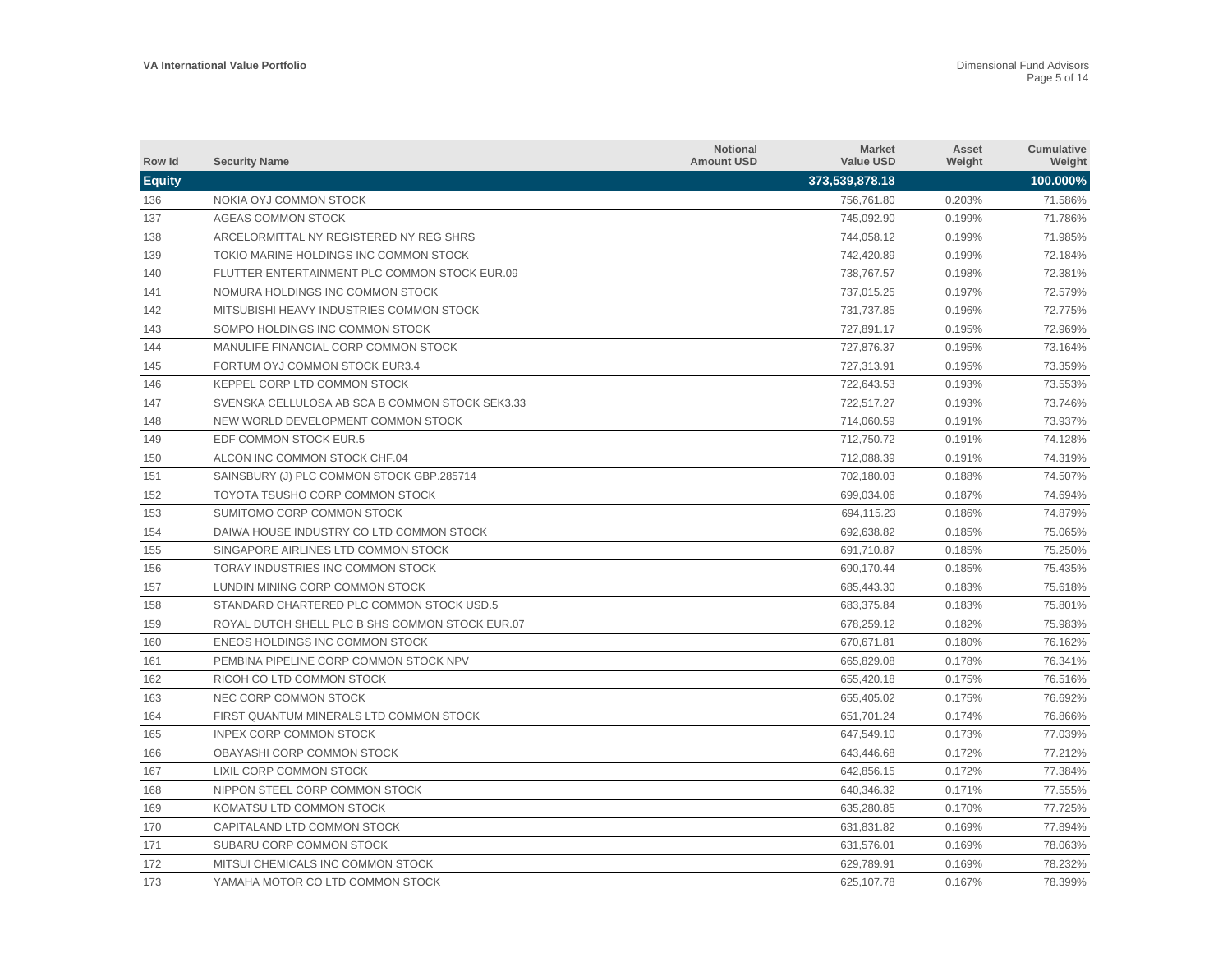| Row Id        | <b>Security Name</b>                            | <b>Notional</b><br><b>Amount USD</b> | <b>Market</b><br><b>Value USD</b> | Asset<br>Weight | Cumulative<br>Weight |
|---------------|-------------------------------------------------|--------------------------------------|-----------------------------------|-----------------|----------------------|
| <b>Equity</b> |                                                 |                                      | 373,539,878.18                    |                 | 100.000%             |
| 136           | NOKIA OYJ COMMON STOCK                          |                                      | 756,761.80                        | 0.203%          | 71.586%              |
| 137           | <b>AGEAS COMMON STOCK</b>                       |                                      | 745,092.90                        | 0.199%          | 71.786%              |
| 138           | ARCELORMITTAL NY REGISTERED NY REG SHRS         |                                      | 744,058.12                        | 0.199%          | 71.985%              |
| 139           | TOKIO MARINE HOLDINGS INC COMMON STOCK          |                                      | 742,420.89                        | 0.199%          | 72.184%              |
| 140           | FLUTTER ENTERTAINMENT PLC COMMON STOCK EUR.09   |                                      | 738,767.57                        | 0.198%          | 72.381%              |
| 141           | NOMURA HOLDINGS INC COMMON STOCK                |                                      | 737,015.25                        | 0.197%          | 72.579%              |
| 142           | MITSUBISHI HEAVY INDUSTRIES COMMON STOCK        |                                      | 731,737.85                        | 0.196%          | 72.775%              |
| 143           | SOMPO HOLDINGS INC COMMON STOCK                 |                                      | 727,891.17                        | 0.195%          | 72.969%              |
| 144           | MANULIFE FINANCIAL CORP COMMON STOCK            |                                      | 727,876.37                        | 0.195%          | 73.164%              |
| 145           | FORTUM OYJ COMMON STOCK EUR3.4                  |                                      | 727.313.91                        | 0.195%          | 73.359%              |
| 146           | KEPPEL CORP LTD COMMON STOCK                    |                                      | 722,643.53                        | 0.193%          | 73.553%              |
| 147           | SVENSKA CELLULOSA AB SCA B COMMON STOCK SEK3.33 |                                      | 722,517.27                        | 0.193%          | 73.746%              |
| 148           | NEW WORLD DEVELOPMENT COMMON STOCK              |                                      | 714,060.59                        | 0.191%          | 73.937%              |
| 149           | EDF COMMON STOCK EUR.5                          |                                      | 712,750.72                        | 0.191%          | 74.128%              |
| 150           | ALCON INC COMMON STOCK CHF.04                   |                                      | 712,088.39                        | 0.191%          | 74.319%              |
| 151           | SAINSBURY (J) PLC COMMON STOCK GBP.285714       |                                      | 702,180.03                        | 0.188%          | 74.507%              |
| 152           | TOYOTA TSUSHO CORP COMMON STOCK                 |                                      | 699,034.06                        | 0.187%          | 74.694%              |
| 153           | SUMITOMO CORP COMMON STOCK                      |                                      | 694,115.23                        | 0.186%          | 74.879%              |
| 154           | DAIWA HOUSE INDUSTRY CO LTD COMMON STOCK        |                                      | 692,638.82                        | 0.185%          | 75.065%              |
| 155           | SINGAPORE AIRLINES LTD COMMON STOCK             |                                      | 691,710.87                        | 0.185%          | 75.250%              |
| 156           | TORAY INDUSTRIES INC COMMON STOCK               |                                      | 690,170.44                        | 0.185%          | 75.435%              |
| 157           | LUNDIN MINING CORP COMMON STOCK                 |                                      | 685.443.30                        | 0.183%          | 75.618%              |
| 158           | STANDARD CHARTERED PLC COMMON STOCK USD.5       |                                      | 683.375.84                        | 0.183%          | 75.801%              |
| 159           | ROYAL DUTCH SHELL PLC B SHS COMMON STOCK EUR.07 |                                      | 678.259.12                        | 0.182%          | 75.983%              |
| 160           | ENEOS HOLDINGS INC COMMON STOCK                 |                                      | 670,671.81                        | 0.180%          | 76.162%              |
| 161           | PEMBINA PIPELINE CORP COMMON STOCK NPV          |                                      | 665,829.08                        | 0.178%          | 76.341%              |
| 162           | RICOH CO LTD COMMON STOCK                       |                                      | 655,420.18                        | 0.175%          | 76.516%              |
| 163           | NEC CORP COMMON STOCK                           |                                      | 655,405.02                        | 0.175%          | 76.692%              |
| 164           | FIRST QUANTUM MINERALS LTD COMMON STOCK         |                                      | 651,701.24                        | 0.174%          | 76.866%              |
| 165           | <b>INPEX CORP COMMON STOCK</b>                  |                                      | 647,549.10                        | 0.173%          | 77.039%              |
| 166           | OBAYASHI CORP COMMON STOCK                      |                                      | 643,446.68                        | 0.172%          | 77.212%              |
| 167           | LIXIL CORP COMMON STOCK                         |                                      | 642,856.15                        | 0.172%          | 77.384%              |
| 168           | NIPPON STEEL CORP COMMON STOCK                  |                                      | 640,346.32                        | 0.171%          | 77.555%              |
| 169           | KOMATSU LTD COMMON STOCK                        |                                      | 635,280.85                        | 0.170%          | 77.725%              |
| 170           | CAPITALAND LTD COMMON STOCK                     |                                      | 631,831.82                        | 0.169%          | 77.894%              |
| 171           | SUBARU CORP COMMON STOCK                        |                                      | 631,576.01                        | 0.169%          | 78.063%              |
| 172           | MITSUI CHEMICALS INC COMMON STOCK               |                                      | 629.789.91                        | 0.169%          | 78.232%              |
| 173           | YAMAHA MOTOR CO LTD COMMON STOCK                |                                      | 625,107.78                        | 0.167%          | 78.399%              |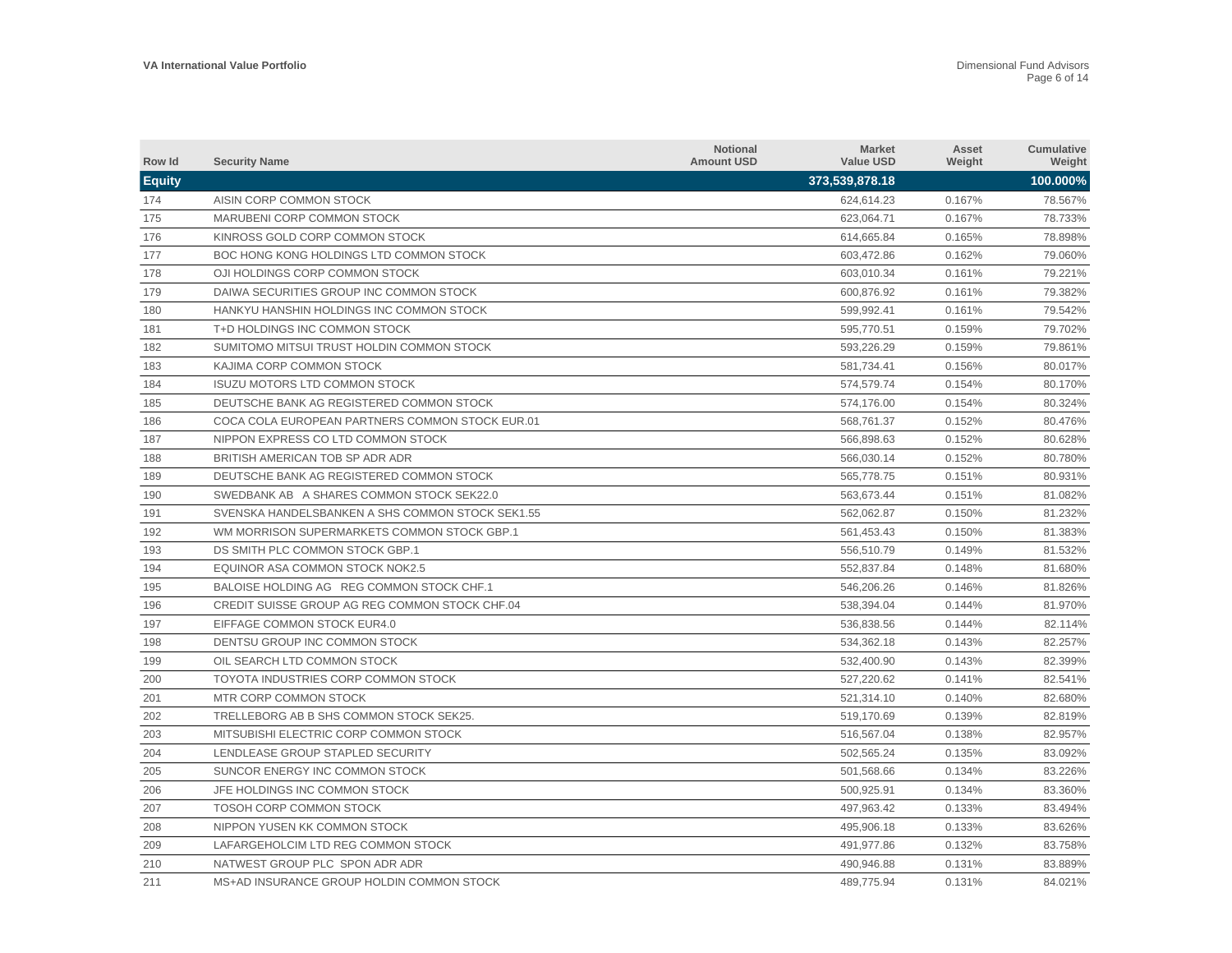| Row Id        | <b>Security Name</b>                             | <b>Notional</b><br><b>Amount USD</b> | <b>Market</b><br><b>Value USD</b> | Asset<br>Weight | Cumulative<br>Weight |
|---------------|--------------------------------------------------|--------------------------------------|-----------------------------------|-----------------|----------------------|
| <b>Equity</b> |                                                  |                                      | 373,539,878.18                    |                 | 100.000%             |
| 174           | AISIN CORP COMMON STOCK                          |                                      | 624,614.23                        | 0.167%          | 78.567%              |
| 175           | MARUBENI CORP COMMON STOCK                       |                                      | 623,064.71                        | 0.167%          | 78.733%              |
| 176           | KINROSS GOLD CORP COMMON STOCK                   |                                      | 614,665.84                        | 0.165%          | 78.898%              |
| 177           | BOC HONG KONG HOLDINGS LTD COMMON STOCK          |                                      | 603,472.86                        | 0.162%          | 79.060%              |
| 178           | OJI HOLDINGS CORP COMMON STOCK                   |                                      | 603,010.34                        | 0.161%          | 79.221%              |
| 179           | DAIWA SECURITIES GROUP INC COMMON STOCK          |                                      | 600,876.92                        | 0.161%          | 79.382%              |
| 180           | HANKYU HANSHIN HOLDINGS INC COMMON STOCK         |                                      | 599,992.41                        | 0.161%          | 79.542%              |
| 181           | T+D HOLDINGS INC COMMON STOCK                    |                                      | 595,770.51                        | 0.159%          | 79.702%              |
| 182           | SUMITOMO MITSUI TRUST HOLDIN COMMON STOCK        |                                      | 593.226.29                        | 0.159%          | 79.861%              |
| 183           | KAJIMA CORP COMMON STOCK                         |                                      | 581.734.41                        | 0.156%          | 80.017%              |
| 184           | <b>ISUZU MOTORS LTD COMMON STOCK</b>             |                                      | 574,579.74                        | 0.154%          | 80.170%              |
| 185           | DEUTSCHE BANK AG REGISTERED COMMON STOCK         |                                      | 574,176.00                        | 0.154%          | 80.324%              |
| 186           | COCA COLA EUROPEAN PARTNERS COMMON STOCK EUR.01  |                                      | 568,761.37                        | 0.152%          | 80.476%              |
| 187           | NIPPON EXPRESS CO LTD COMMON STOCK               |                                      | 566,898.63                        | 0.152%          | 80.628%              |
| 188           | BRITISH AMERICAN TOB SP ADR ADR                  |                                      | 566,030.14                        | 0.152%          | 80.780%              |
| 189           | DEUTSCHE BANK AG REGISTERED COMMON STOCK         |                                      | 565,778.75                        | 0.151%          | 80.931%              |
| 190           | SWEDBANK AB A SHARES COMMON STOCK SEK22.0        |                                      | 563,673.44                        | 0.151%          | 81.082%              |
| 191           | SVENSKA HANDELSBANKEN A SHS COMMON STOCK SEK1.55 |                                      | 562,062.87                        | 0.150%          | 81.232%              |
| 192           | WM MORRISON SUPERMARKETS COMMON STOCK GBP.1      |                                      | 561,453.43                        | 0.150%          | 81.383%              |
| 193           | DS SMITH PLC COMMON STOCK GBP.1                  |                                      | 556,510.79                        | 0.149%          | 81.532%              |
| 194           | EQUINOR ASA COMMON STOCK NOK2.5                  |                                      | 552,837.84                        | 0.148%          | 81.680%              |
| 195           | BALOISE HOLDING AG REG COMMON STOCK CHF.1        |                                      | 546.206.26                        | 0.146%          | 81.826%              |
| 196           | CREDIT SUISSE GROUP AG REG COMMON STOCK CHF.04   |                                      | 538.394.04                        | 0.144%          | 81.970%              |
| 197           | EIFFAGE COMMON STOCK EUR4.0                      |                                      | 536.838.56                        | 0.144%          | 82.114%              |
| 198           | DENTSU GROUP INC COMMON STOCK                    |                                      | 534,362.18                        | 0.143%          | 82.257%              |
| 199           | OIL SEARCH LTD COMMON STOCK                      |                                      | 532,400.90                        | 0.143%          | 82.399%              |
| 200           | TOYOTA INDUSTRIES CORP COMMON STOCK              |                                      | 527,220.62                        | 0.141%          | 82.541%              |
| 201           | MTR CORP COMMON STOCK                            |                                      | 521,314.10                        | 0.140%          | 82.680%              |
| 202           | TRELLEBORG AB B SHS COMMON STOCK SEK25.          |                                      | 519,170.69                        | 0.139%          | 82.819%              |
| 203           | MITSUBISHI ELECTRIC CORP COMMON STOCK            |                                      | 516,567.04                        | 0.138%          | 82.957%              |
| 204           | LENDLEASE GROUP STAPLED SECURITY                 |                                      | 502,565.24                        | 0.135%          | 83.092%              |
| 205           | SUNCOR ENERGY INC COMMON STOCK                   |                                      | 501,568.66                        | 0.134%          | 83.226%              |
| 206           | JFE HOLDINGS INC COMMON STOCK                    |                                      | 500,925.91                        | 0.134%          | 83.360%              |
| 207           | <b>TOSOH CORP COMMON STOCK</b>                   |                                      | 497,963.42                        | 0.133%          | 83.494%              |
| 208           | NIPPON YUSEN KK COMMON STOCK                     |                                      | 495,906.18                        | 0.133%          | 83.626%              |
| 209           | LAFARGEHOLCIM LTD REG COMMON STOCK               |                                      | 491,977.86                        | 0.132%          | 83.758%              |
| 210           | NATWEST GROUP PLC SPON ADR ADR                   |                                      | 490.946.88                        | 0.131%          | 83.889%              |
| 211           | MS+AD INSURANCE GROUP HOLDIN COMMON STOCK        |                                      | 489,775.94                        | 0.131%          | 84.021%              |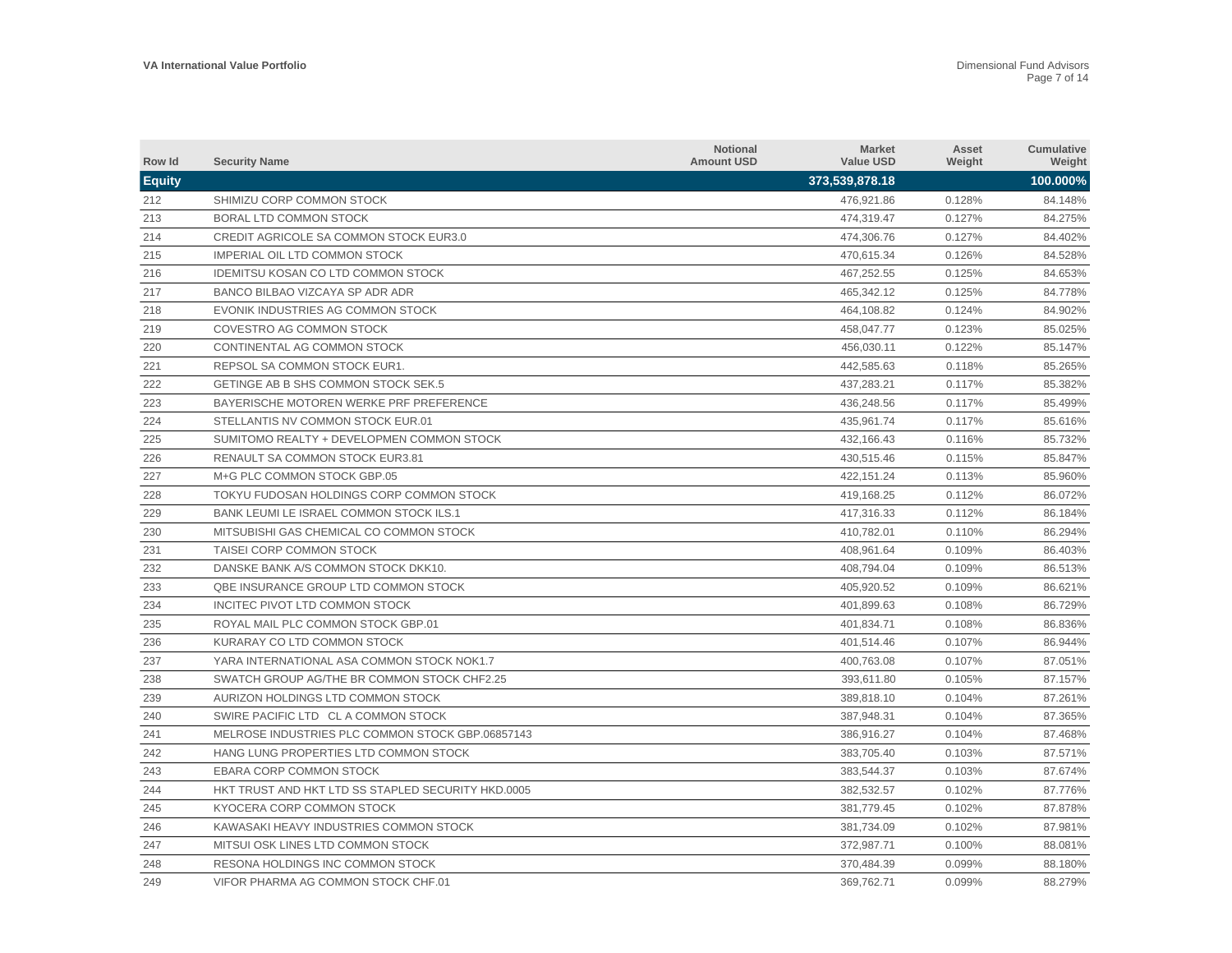| Row Id        | <b>Security Name</b>                               | <b>Notional</b><br><b>Amount USD</b> | <b>Market</b><br><b>Value USD</b> | Asset<br>Weight | Cumulative<br>Weight |
|---------------|----------------------------------------------------|--------------------------------------|-----------------------------------|-----------------|----------------------|
| <b>Equity</b> |                                                    |                                      | 373,539,878.18                    |                 | 100.000%             |
| 212           | SHIMIZU CORP COMMON STOCK                          |                                      | 476,921.86                        | 0.128%          | 84.148%              |
| 213           | BORAL LTD COMMON STOCK                             |                                      | 474,319.47                        | 0.127%          | 84.275%              |
| 214           | <b>CREDIT AGRICOLE SA COMMON STOCK EUR3.0</b>      |                                      | 474,306.76                        | 0.127%          | 84.402%              |
| 215           | <b>IMPERIAL OIL LTD COMMON STOCK</b>               |                                      | 470,615.34                        | 0.126%          | 84.528%              |
| 216           | <b>IDEMITSU KOSAN CO LTD COMMON STOCK</b>          |                                      | 467,252.55                        | 0.125%          | 84.653%              |
| 217           | BANCO BILBAO VIZCAYA SP ADR ADR                    |                                      | 465,342.12                        | 0.125%          | 84.778%              |
| 218           | EVONIK INDUSTRIES AG COMMON STOCK                  |                                      | 464,108.82                        | 0.124%          | 84.902%              |
| 219           | COVESTRO AG COMMON STOCK                           |                                      | 458,047.77                        | 0.123%          | 85.025%              |
| 220           | CONTINENTAL AG COMMON STOCK                        |                                      | 456,030.11                        | 0.122%          | 85.147%              |
| 221           | REPSOL SA COMMON STOCK EUR1.                       |                                      | 442.585.63                        | 0.118%          | 85.265%              |
| 222           | GETINGE AB B SHS COMMON STOCK SEK.5                |                                      | 437,283.21                        | 0.117%          | 85.382%              |
| 223           | BAYERISCHE MOTOREN WERKE PRF PREFERENCE            |                                      | 436,248.56                        | 0.117%          | 85.499%              |
| 224           | STELLANTIS NV COMMON STOCK EUR.01                  |                                      | 435,961.74                        | 0.117%          | 85.616%              |
| 225           | SUMITOMO REALTY + DEVELOPMEN COMMON STOCK          |                                      | 432,166.43                        | 0.116%          | 85.732%              |
| 226           | RENAULT SA COMMON STOCK EUR3.81                    |                                      | 430,515.46                        | 0.115%          | 85.847%              |
| 227           | M+G PLC COMMON STOCK GBP.05                        |                                      | 422,151.24                        | 0.113%          | 85.960%              |
| 228           | TOKYU FUDOSAN HOLDINGS CORP COMMON STOCK           |                                      | 419,168.25                        | 0.112%          | 86.072%              |
| 229           | BANK LEUMI LE ISRAEL COMMON STOCK ILS.1            |                                      | 417,316.33                        | 0.112%          | 86.184%              |
| 230           | MITSUBISHI GAS CHEMICAL CO COMMON STOCK            |                                      | 410,782.01                        | 0.110%          | 86.294%              |
| 231           | TAISEI CORP COMMON STOCK                           |                                      | 408,961.64                        | 0.109%          | 86.403%              |
| 232           | DANSKE BANK A/S COMMON STOCK DKK10.                |                                      | 408,794.04                        | 0.109%          | 86.513%              |
| 233           | QBE INSURANCE GROUP LTD COMMON STOCK               |                                      | 405.920.52                        | 0.109%          | 86.621%              |
| 234           | INCITEC PIVOT LTD COMMON STOCK                     |                                      | 401.899.63                        | 0.108%          | 86.729%              |
| 235           | ROYAL MAIL PLC COMMON STOCK GBP.01                 |                                      | 401.834.71                        | 0.108%          | 86.836%              |
| 236           | KURARAY CO LTD COMMON STOCK                        |                                      | 401,514.46                        | 0.107%          | 86.944%              |
| 237           | YARA INTERNATIONAL ASA COMMON STOCK NOK1.7         |                                      | 400,763.08                        | 0.107%          | 87.051%              |
| 238           | SWATCH GROUP AG/THE BR COMMON STOCK CHF2.25        |                                      | 393,611.80                        | 0.105%          | 87.157%              |
| 239           | AURIZON HOLDINGS LTD COMMON STOCK                  |                                      | 389,818.10                        | 0.104%          | 87.261%              |
| 240           | SWIRE PACIFIC LTD CL A COMMON STOCK                |                                      | 387,948.31                        | 0.104%          | 87.365%              |
| 241           | MELROSE INDUSTRIES PLC COMMON STOCK GBP.06857143   |                                      | 386,916.27                        | 0.104%          | 87.468%              |
| 242           | HANG LUNG PROPERTIES LTD COMMON STOCK              |                                      | 383,705.40                        | 0.103%          | 87.571%              |
| 243           | EBARA CORP COMMON STOCK                            |                                      | 383,544.37                        | 0.103%          | 87.674%              |
| 244           | HKT TRUST AND HKT LTD SS STAPLED SECURITY HKD.0005 |                                      | 382,532.57                        | 0.102%          | 87.776%              |
| 245           | KYOCERA CORP COMMON STOCK                          |                                      | 381,779.45                        | 0.102%          | 87.878%              |
| 246           | KAWASAKI HEAVY INDUSTRIES COMMON STOCK             |                                      | 381,734.09                        | 0.102%          | 87.981%              |
| 247           | MITSUI OSK LINES LTD COMMON STOCK                  |                                      | 372.987.71                        | 0.100%          | 88.081%              |
| 248           | RESONA HOLDINGS INC COMMON STOCK                   |                                      | 370.484.39                        | 0.099%          | 88.180%              |
| 249           | VIFOR PHARMA AG COMMON STOCK CHF.01                |                                      | 369,762.71                        | 0.099%          | 88.279%              |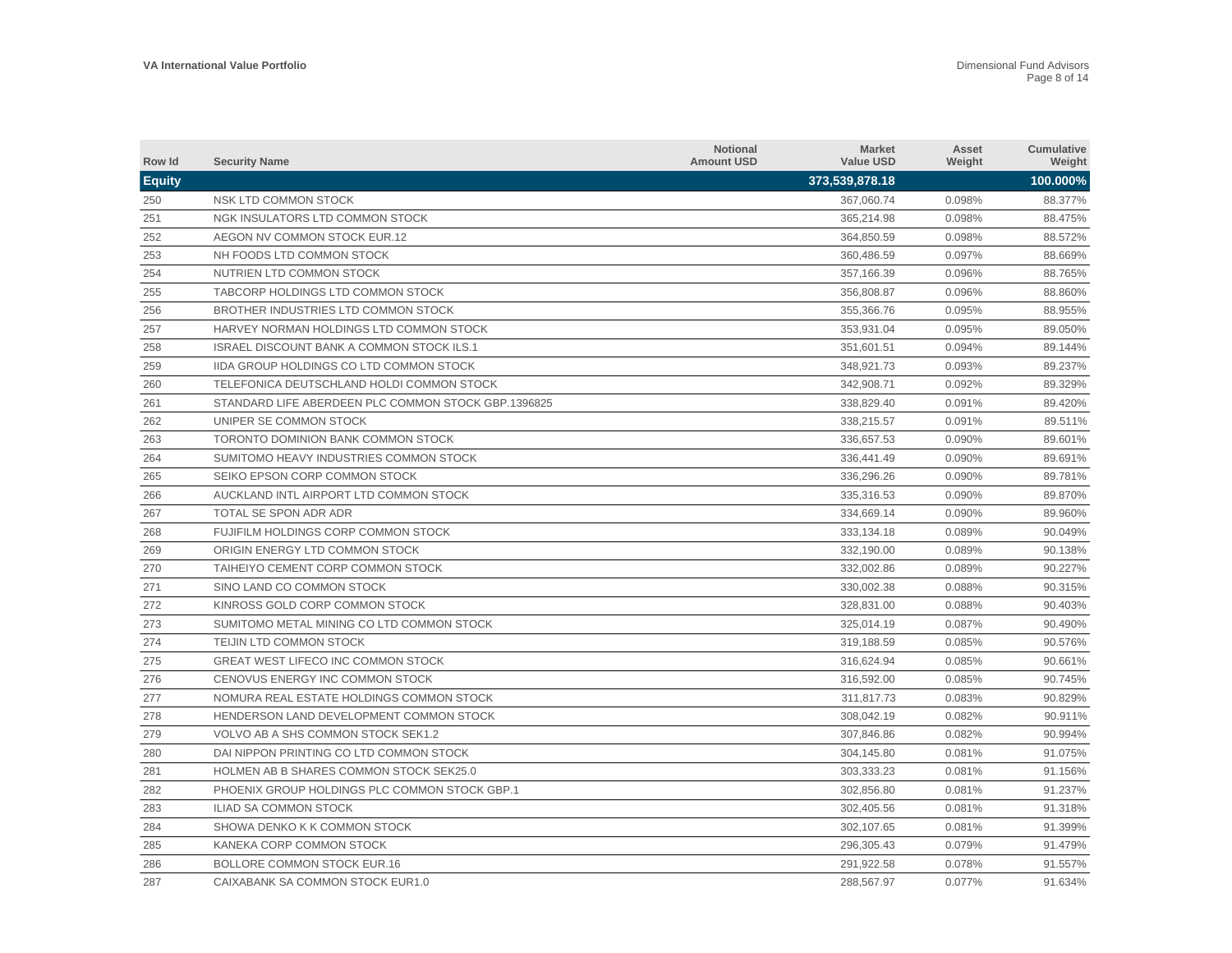| Row Id        | <b>Security Name</b>                                | <b>Notional</b><br><b>Amount USD</b> | <b>Market</b><br><b>Value USD</b> | Asset<br>Weight | Cumulative<br>Weight |
|---------------|-----------------------------------------------------|--------------------------------------|-----------------------------------|-----------------|----------------------|
| <b>Equity</b> |                                                     |                                      | 373,539,878.18                    |                 | 100.000%             |
| 250           | NSK LTD COMMON STOCK                                |                                      | 367,060.74                        | 0.098%          | 88.377%              |
| 251           | NGK INSULATORS LTD COMMON STOCK                     |                                      | 365,214.98                        | 0.098%          | 88.475%              |
| 252           | AEGON NV COMMON STOCK EUR.12                        |                                      | 364,850.59                        | 0.098%          | 88.572%              |
| 253           | NH FOODS LTD COMMON STOCK                           |                                      | 360,486.59                        | 0.097%          | 88.669%              |
| 254           | NUTRIEN LTD COMMON STOCK                            |                                      | 357,166.39                        | 0.096%          | 88.765%              |
| 255           | TABCORP HOLDINGS LTD COMMON STOCK                   |                                      | 356,808.87                        | 0.096%          | 88.860%              |
| 256           | BROTHER INDUSTRIES LTD COMMON STOCK                 |                                      | 355,366.76                        | 0.095%          | 88.955%              |
| 257           | HARVEY NORMAN HOLDINGS LTD COMMON STOCK             |                                      | 353,931.04                        | 0.095%          | 89.050%              |
| 258           | <b>ISRAEL DISCOUNT BANK A COMMON STOCK ILS.1</b>    |                                      | 351.601.51                        | 0.094%          | 89.144%              |
| 259           | <b>IIDA GROUP HOLDINGS CO LTD COMMON STOCK</b>      |                                      | 348.921.73                        | 0.093%          | 89.237%              |
| 260           | TELEFONICA DEUTSCHLAND HOLDI COMMON STOCK           |                                      | 342,908.71                        | 0.092%          | 89.329%              |
| 261           | STANDARD LIFE ABERDEEN PLC COMMON STOCK GBP.1396825 |                                      | 338,829.40                        | 0.091%          | 89.420%              |
| 262           | UNIPER SE COMMON STOCK                              |                                      | 338,215.57                        | 0.091%          | 89.511%              |
| 263           | TORONTO DOMINION BANK COMMON STOCK                  |                                      | 336,657.53                        | 0.090%          | 89.601%              |
| 264           | SUMITOMO HEAVY INDUSTRIES COMMON STOCK              |                                      | 336,441.49                        | 0.090%          | 89.691%              |
| 265           | SEIKO EPSON CORP COMMON STOCK                       |                                      | 336,296.26                        | 0.090%          | 89.781%              |
| 266           | AUCKLAND INTL AIRPORT LTD COMMON STOCK              |                                      | 335,316.53                        | 0.090%          | 89.870%              |
| 267           | TOTAL SE SPON ADR ADR                               |                                      | 334,669.14                        | 0.090%          | 89.960%              |
| 268           | FUJIFILM HOLDINGS CORP COMMON STOCK                 |                                      | 333,134.18                        | 0.089%          | 90.049%              |
| 269           | ORIGIN ENERGY LTD COMMON STOCK                      |                                      | 332,190.00                        | 0.089%          | 90.138%              |
| 270           | TAIHEIYO CEMENT CORP COMMON STOCK                   |                                      | 332,002.86                        | 0.089%          | 90.227%              |
| 271           | SINO LAND CO COMMON STOCK                           |                                      | 330.002.38                        | 0.088%          | 90.315%              |
| 272           | KINROSS GOLD CORP COMMON STOCK                      |                                      | 328.831.00                        | 0.088%          | 90.403%              |
| 273           | SUMITOMO METAL MINING CO LTD COMMON STOCK           |                                      | 325.014.19                        | 0.087%          | 90.490%              |
| 274           | TEIJIN LTD COMMON STOCK                             |                                      | 319,188.59                        | 0.085%          | 90.576%              |
| 275           | GREAT WEST LIFECO INC COMMON STOCK                  |                                      | 316,624.94                        | 0.085%          | 90.661%              |
| 276           | CENOVUS ENERGY INC COMMON STOCK                     |                                      | 316,592.00                        | 0.085%          | 90.745%              |
| 277           | NOMURA REAL ESTATE HOLDINGS COMMON STOCK            |                                      | 311,817.73                        | 0.083%          | 90.829%              |
| 278           | HENDERSON LAND DEVELOPMENT COMMON STOCK             |                                      | 308,042.19                        | 0.082%          | 90.911%              |
| 279           | VOLVO AB A SHS COMMON STOCK SEK1.2                  |                                      | 307,846.86                        | 0.082%          | 90.994%              |
| 280           | DAI NIPPON PRINTING CO LTD COMMON STOCK             |                                      | 304,145.80                        | 0.081%          | 91.075%              |
| 281           | HOLMEN AB B SHARES COMMON STOCK SEK25.0             |                                      | 303,333.23                        | 0.081%          | 91.156%              |
| 282           | PHOENIX GROUP HOLDINGS PLC COMMON STOCK GBP.1       |                                      | 302,856.80                        | 0.081%          | 91.237%              |
| 283           | <b>ILIAD SA COMMON STOCK</b>                        |                                      | 302,405.56                        | 0.081%          | 91.318%              |
| 284           | SHOWA DENKO K K COMMON STOCK                        |                                      | 302,107.65                        | 0.081%          | 91.399%              |
| 285           | KANEKA CORP COMMON STOCK                            |                                      | 296.305.43                        | 0.079%          | 91.479%              |
| 286           | <b>BOLLORE COMMON STOCK EUR.16</b>                  |                                      | 291.922.58                        | 0.078%          | 91.557%              |
| 287           | CAIXABANK SA COMMON STOCK EUR1.0                    |                                      | 288,567.97                        | 0.077%          | 91.634%              |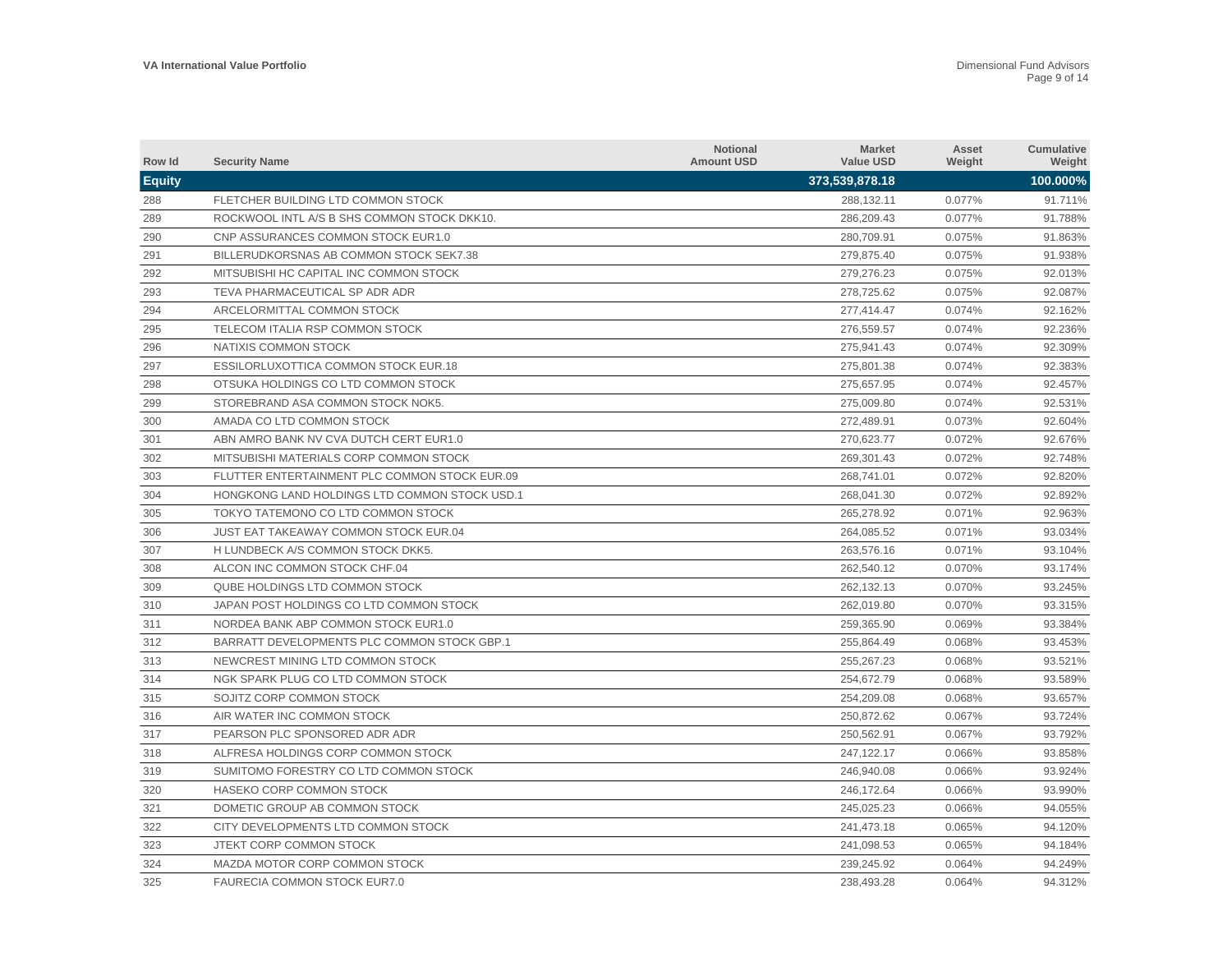| Row Id        | <b>Security Name</b>                          | <b>Notional</b><br><b>Amount USD</b> | <b>Market</b><br><b>Value USD</b> | Asset<br>Weight | Cumulative<br>Weight |
|---------------|-----------------------------------------------|--------------------------------------|-----------------------------------|-----------------|----------------------|
| <b>Equity</b> |                                               |                                      | 373,539,878.18                    |                 | 100.000%             |
| 288           | FLETCHER BUILDING LTD COMMON STOCK            |                                      | 288,132.11                        | 0.077%          | 91.711%              |
| 289           | ROCKWOOL INTL A/S B SHS COMMON STOCK DKK10.   |                                      | 286,209.43                        | 0.077%          | 91.788%              |
| 290           | CNP ASSURANCES COMMON STOCK EUR1.0            |                                      | 280,709.91                        | 0.075%          | 91.863%              |
| 291           | BILLERUDKORSNAS AB COMMON STOCK SEK7.38       |                                      | 279,875.40                        | 0.075%          | 91.938%              |
| 292           | MITSUBISHI HC CAPITAL INC COMMON STOCK        |                                      | 279,276.23                        | 0.075%          | 92.013%              |
| 293           | TEVA PHARMACEUTICAL SP ADR ADR                |                                      | 278,725.62                        | 0.075%          | 92.087%              |
| 294           | ARCELORMITTAL COMMON STOCK                    |                                      | 277,414.47                        | 0.074%          | 92.162%              |
| 295           | TELECOM ITALIA RSP COMMON STOCK               |                                      | 276,559.57                        | 0.074%          | 92.236%              |
| 296           | NATIXIS COMMON STOCK                          |                                      | 275.941.43                        | 0.074%          | 92.309%              |
| 297           | <b>ESSILORLUXOTTICA COMMON STOCK EUR.18</b>   |                                      | 275.801.38                        | 0.074%          | 92.383%              |
| 298           | OTSUKA HOLDINGS CO LTD COMMON STOCK           |                                      | 275,657.95                        | 0.074%          | 92.457%              |
| 299           | STOREBRAND ASA COMMON STOCK NOK5.             |                                      | 275,009.80                        | 0.074%          | 92.531%              |
| 300           | AMADA CO LTD COMMON STOCK                     |                                      | 272,489.91                        | 0.073%          | 92.604%              |
| 301           | ABN AMRO BANK NV CVA DUTCH CERT EUR1.0        |                                      | 270,623.77                        | 0.072%          | 92.676%              |
| 302           | MITSUBISHI MATERIALS CORP COMMON STOCK        |                                      | 269,301.43                        | 0.072%          | 92.748%              |
| 303           | FLUTTER ENTERTAINMENT PLC COMMON STOCK EUR.09 |                                      | 268,741.01                        | 0.072%          | 92.820%              |
| 304           | HONGKONG LAND HOLDINGS LTD COMMON STOCK USD.1 |                                      | 268,041.30                        | 0.072%          | 92.892%              |
| 305           | TOKYO TATEMONO CO LTD COMMON STOCK            |                                      | 265,278.92                        | 0.071%          | 92.963%              |
| 306           | <b>JUST EAT TAKEAWAY COMMON STOCK EUR.04</b>  |                                      | 264,085.52                        | 0.071%          | 93.034%              |
| 307           | H LUNDBECK A/S COMMON STOCK DKK5.             |                                      | 263,576.16                        | 0.071%          | 93.104%              |
| 308           | ALCON INC COMMON STOCK CHF.04                 |                                      | 262,540.12                        | 0.070%          | 93.174%              |
| 309           | QUBE HOLDINGS LTD COMMON STOCK                |                                      | 262.132.13                        | 0.070%          | 93.245%              |
| 310           | JAPAN POST HOLDINGS CO LTD COMMON STOCK       |                                      | 262.019.80                        | 0.070%          | 93.315%              |
| 311           | NORDEA BANK ABP COMMON STOCK EUR1.0           |                                      | 259.365.90                        | 0.069%          | 93.384%              |
| 312           | BARRATT DEVELOPMENTS PLC COMMON STOCK GBP.1   |                                      | 255,864.49                        | 0.068%          | 93.453%              |
| 313           | NEWCREST MINING LTD COMMON STOCK              |                                      | 255,267.23                        | 0.068%          | 93.521%              |
| 314           | NGK SPARK PLUG CO LTD COMMON STOCK            |                                      | 254,672.79                        | 0.068%          | 93.589%              |
| 315           | SOJITZ CORP COMMON STOCK                      |                                      | 254,209.08                        | 0.068%          | 93.657%              |
| 316           | AIR WATER INC COMMON STOCK                    |                                      | 250,872.62                        | 0.067%          | 93.724%              |
| 317           | PEARSON PLC SPONSORED ADR ADR                 |                                      | 250,562.91                        | 0.067%          | 93.792%              |
| 318           | ALFRESA HOLDINGS CORP COMMON STOCK            |                                      | 247,122.17                        | 0.066%          | 93.858%              |
| 319           | SUMITOMO FORESTRY CO LTD COMMON STOCK         |                                      | 246,940.08                        | 0.066%          | 93.924%              |
| 320           | HASEKO CORP COMMON STOCK                      |                                      | 246,172.64                        | 0.066%          | 93.990%              |
| 321           | DOMETIC GROUP AB COMMON STOCK                 |                                      | 245,025.23                        | 0.066%          | 94.055%              |
| 322           | CITY DEVELOPMENTS LTD COMMON STOCK            |                                      | 241,473.18                        | 0.065%          | 94.120%              |
| 323           | JTEKT CORP COMMON STOCK                       |                                      | 241.098.53                        | 0.065%          | 94.184%              |
| 324           | MAZDA MOTOR CORP COMMON STOCK                 |                                      | 239.245.92                        | 0.064%          | 94.249%              |
| 325           | FAURECIA COMMON STOCK EUR7.0                  |                                      | 238,493.28                        | 0.064%          | 94.312%              |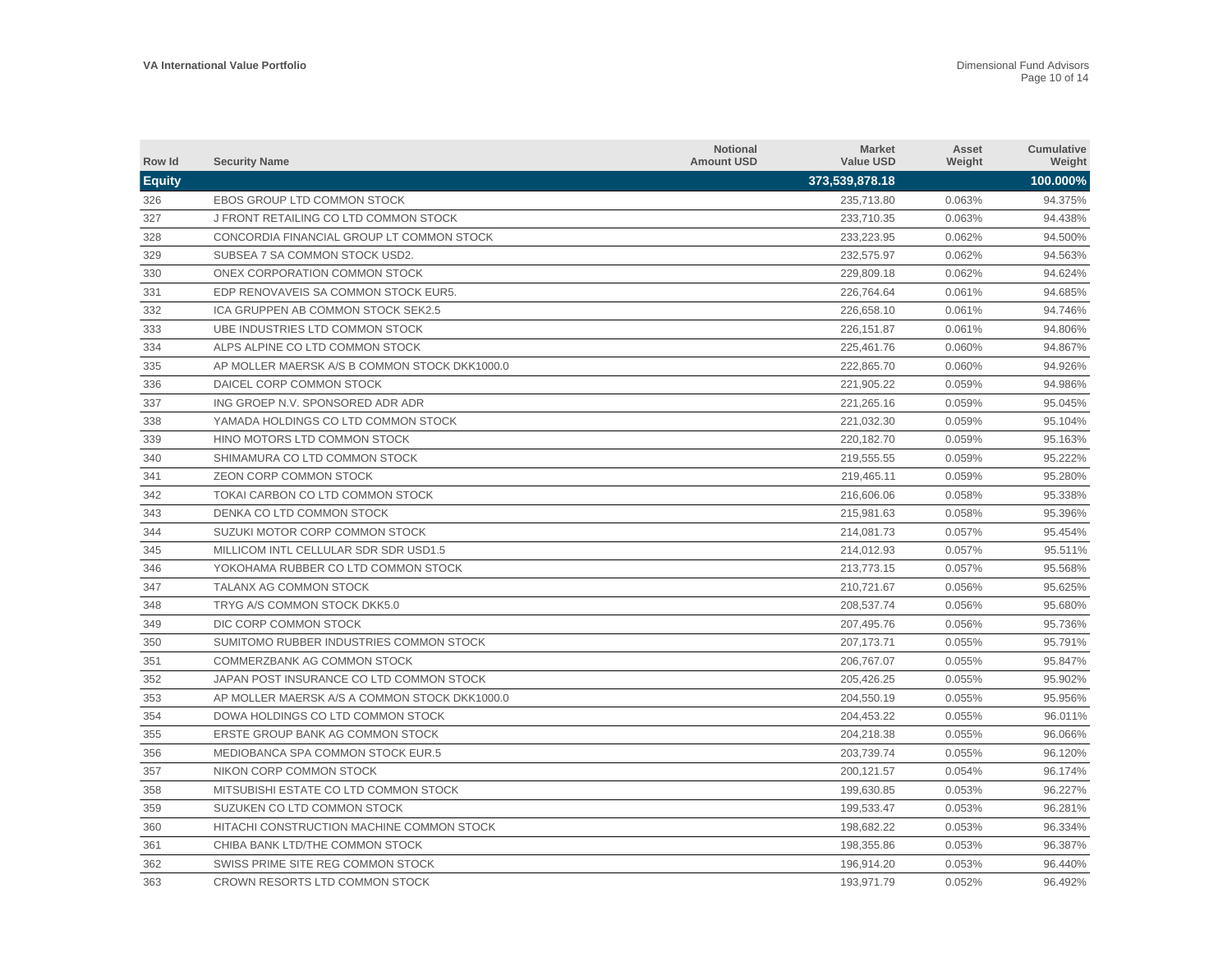| Row Id        | <b>Security Name</b>                          | <b>Notional</b><br><b>Amount USD</b> | <b>Market</b><br><b>Value USD</b> | Asset<br>Weight | Cumulative<br>Weight |
|---------------|-----------------------------------------------|--------------------------------------|-----------------------------------|-----------------|----------------------|
| <b>Equity</b> |                                               |                                      | 373,539,878.18                    |                 | 100.000%             |
| 326           | EBOS GROUP LTD COMMON STOCK                   |                                      | 235.713.80                        | 0.063%          | 94.375%              |
| 327           | J FRONT RETAILING CO LTD COMMON STOCK         |                                      | 233,710.35                        | 0.063%          | 94.438%              |
| 328           | CONCORDIA FINANCIAL GROUP LT COMMON STOCK     |                                      | 233,223.95                        | 0.062%          | 94.500%              |
| 329           | SUBSEA 7 SA COMMON STOCK USD2.                |                                      | 232,575.97                        | 0.062%          | 94.563%              |
| 330           | ONEX CORPORATION COMMON STOCK                 |                                      | 229,809.18                        | 0.062%          | 94.624%              |
| 331           | EDP RENOVAVEIS SA COMMON STOCK EUR5.          |                                      | 226,764.64                        | 0.061%          | 94.685%              |
| 332           | ICA GRUPPEN AB COMMON STOCK SEK2.5            |                                      | 226,658.10                        | 0.061%          | 94.746%              |
| 333           | UBE INDUSTRIES LTD COMMON STOCK               |                                      | 226,151.87                        | 0.061%          | 94.806%              |
| 334           | ALPS ALPINE CO LTD COMMON STOCK               |                                      | 225,461.76                        | 0.060%          | 94.867%              |
| 335           | AP MOLLER MAERSK A/S B COMMON STOCK DKK1000.0 |                                      | 222,865.70                        | 0.060%          | 94.926%              |
| 336           | DAICEL CORP COMMON STOCK                      |                                      | 221,905.22                        | 0.059%          | 94.986%              |
| 337           | ING GROEP N.V. SPONSORED ADR ADR              |                                      | 221,265.16                        | 0.059%          | 95.045%              |
| 338           | YAMADA HOLDINGS CO LTD COMMON STOCK           |                                      | 221,032.30                        | 0.059%          | 95.104%              |
| 339           | HINO MOTORS LTD COMMON STOCK                  |                                      | 220,182.70                        | 0.059%          | 95.163%              |
| 340           | SHIMAMURA CO LTD COMMON STOCK                 |                                      | 219.555.55                        | 0.059%          | 95.222%              |
| 341           | <b>ZEON CORP COMMON STOCK</b>                 |                                      | 219.465.11                        | 0.059%          | 95.280%              |
| 342           | TOKAI CARBON CO LTD COMMON STOCK              |                                      | 216,606.06                        | 0.058%          | 95.338%              |
| 343           | DENKA CO LTD COMMON STOCK                     |                                      | 215,981.63                        | 0.058%          | 95.396%              |
| 344           | SUZUKI MOTOR CORP COMMON STOCK                |                                      | 214,081.73                        | 0.057%          | 95.454%              |
| 345           | MILLICOM INTL CELLULAR SDR SDR USD1.5         |                                      | 214,012.93                        | 0.057%          | 95.511%              |
| 346           | YOKOHAMA RUBBER CO LTD COMMON STOCK           |                                      | 213,773.15                        | 0.057%          | 95.568%              |
| 347           | TALANX AG COMMON STOCK                        |                                      | 210,721.67                        | 0.056%          | 95.625%              |
| 348           | TRYG A/S COMMON STOCK DKK5.0                  |                                      | 208.537.74                        | 0.056%          | 95.680%              |
| 349           | DIC CORP COMMON STOCK                         |                                      | 207,495.76                        | 0.056%          | 95.736%              |
| 350           | SUMITOMO RUBBER INDUSTRIES COMMON STOCK       |                                      | 207, 173. 71                      | 0.055%          | 95.791%              |
| 351           | COMMERZBANK AG COMMON STOCK                   |                                      | 206,767.07                        | 0.055%          | 95.847%              |
| 352           | JAPAN POST INSURANCE CO LTD COMMON STOCK      |                                      | 205,426.25                        | 0.055%          | 95.902%              |
| 353           | AP MOLLER MAERSK A/S A COMMON STOCK DKK1000.0 |                                      | 204,550.19                        | 0.055%          | 95.956%              |
| 354           | DOWA HOLDINGS CO LTD COMMON STOCK             |                                      | 204,453.22                        | 0.055%          | 96.011%              |
| 355           | ERSTE GROUP BANK AG COMMON STOCK              |                                      | 204,218.38                        | 0.055%          | 96.066%              |
| 356           | MEDIOBANCA SPA COMMON STOCK EUR.5             |                                      | 203,739.74                        | 0.055%          | 96.120%              |
| 357           | NIKON CORP COMMON STOCK                       |                                      | 200,121.57                        | 0.054%          | 96.174%              |
| 358           | MITSUBISHI ESTATE CO LTD COMMON STOCK         |                                      | 199,630.85                        | 0.053%          | 96.227%              |
| 359           | SUZUKEN CO LTD COMMON STOCK                   |                                      | 199,533.47                        | 0.053%          | 96.281%              |
| 360           | HITACHI CONSTRUCTION MACHINE COMMON STOCK     |                                      | 198.682.22                        | 0.053%          | 96.334%              |
| 361           | CHIBA BANK LTD/THE COMMON STOCK               |                                      | 198,355.86                        | 0.053%          | 96.387%              |
| 362           | SWISS PRIME SITE REG COMMON STOCK             |                                      | 196.914.20                        | 0.053%          | 96.440%              |
| 363           | CROWN RESORTS LTD COMMON STOCK                |                                      | 193,971.79                        | 0.052%          | 96.492%              |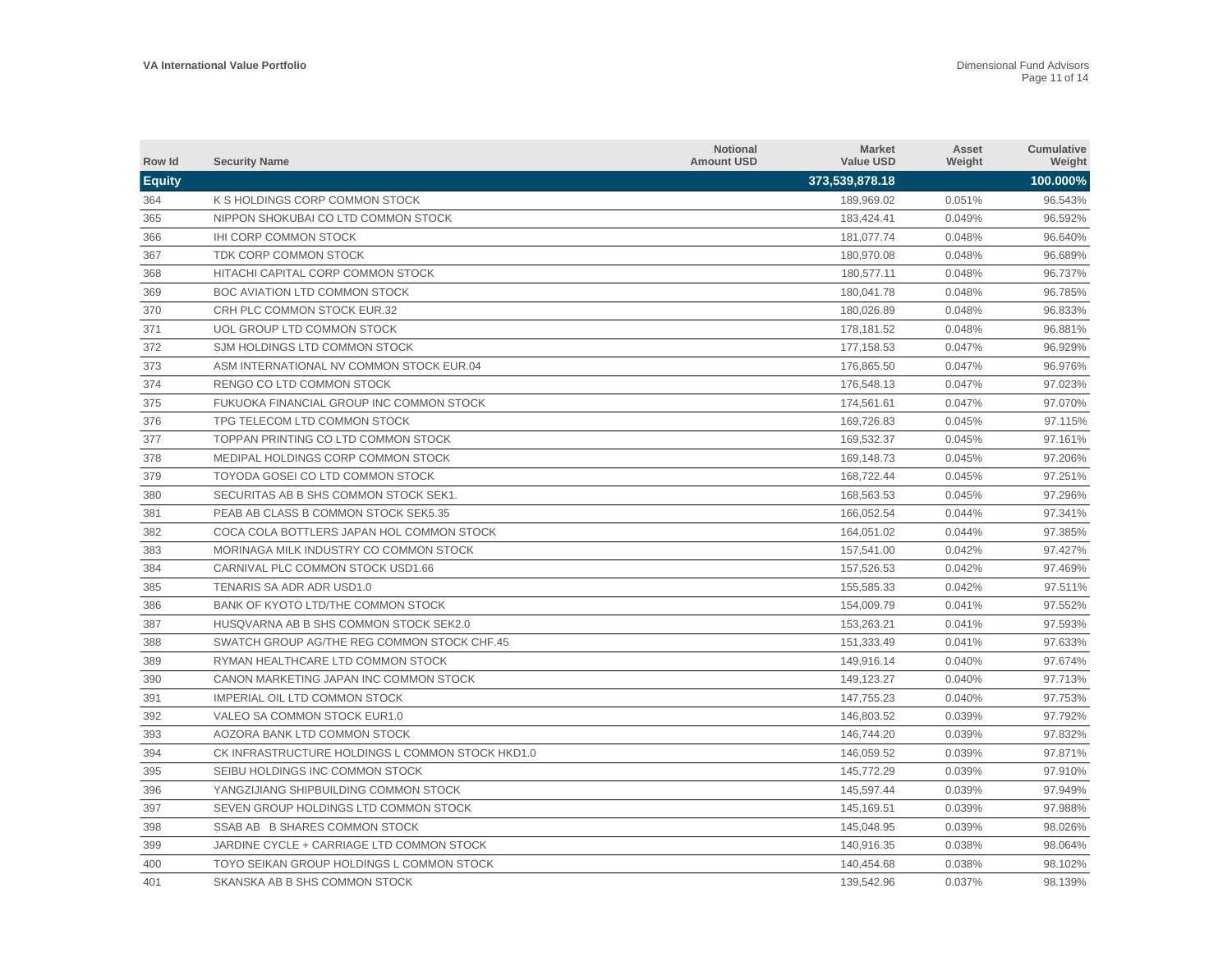| Row Id        | <b>Security Name</b>                             | <b>Notional</b><br><b>Amount USD</b> | <b>Market</b><br><b>Value USD</b> | Asset<br>Weight | <b>Cumulative</b><br>Weight |
|---------------|--------------------------------------------------|--------------------------------------|-----------------------------------|-----------------|-----------------------------|
| <b>Equity</b> |                                                  |                                      | 373,539,878.18                    |                 | 100.000%                    |
| 364           | K S HOLDINGS CORP COMMON STOCK                   |                                      | 189,969.02                        | 0.051%          | 96.543%                     |
| 365           | NIPPON SHOKUBAI CO LTD COMMON STOCK              |                                      | 183,424.41                        | 0.049%          | 96.592%                     |
| 366           | <b>IHI CORP COMMON STOCK</b>                     |                                      | 181,077.74                        | 0.048%          | 96.640%                     |
| 367           | TDK CORP COMMON STOCK                            |                                      | 180,970.08                        | 0.048%          | 96.689%                     |
| 368           | HITACHI CAPITAL CORP COMMON STOCK                |                                      | 180,577.11                        | 0.048%          | 96.737%                     |
| 369           | <b>BOC AVIATION LTD COMMON STOCK</b>             |                                      | 180.041.78                        | 0.048%          | 96.785%                     |
| 370           | CRH PLC COMMON STOCK EUR.32                      |                                      | 180,026.89                        | 0.048%          | 96.833%                     |
| 371           | UOL GROUP LTD COMMON STOCK                       |                                      | 178.181.52                        | 0.048%          | 96.881%                     |
| 372           | SJM HOLDINGS LTD COMMON STOCK                    |                                      | 177, 158.53                       | 0.047%          | 96.929%                     |
| 373           | ASM INTERNATIONAL NV COMMON STOCK EUR.04         |                                      | 176.865.50                        | 0.047%          | 96.976%                     |
| 374           | RENGO CO LTD COMMON STOCK                        |                                      | 176,548.13                        | 0.047%          | 97.023%                     |
| 375           | FUKUOKA FINANCIAL GROUP INC COMMON STOCK         |                                      | 174,561.61                        | 0.047%          | 97.070%                     |
| 376           | TPG TELECOM LTD COMMON STOCK                     |                                      | 169,726.83                        | 0.045%          | 97.115%                     |
| 377           | TOPPAN PRINTING CO LTD COMMON STOCK              |                                      | 169,532.37                        | 0.045%          | 97.161%                     |
| 378           | MEDIPAL HOLDINGS CORP COMMON STOCK               |                                      | 169,148.73                        | 0.045%          | 97.206%                     |
| 379           | TOYODA GOSEI CO LTD COMMON STOCK                 |                                      | 168,722.44                        | 0.045%          | 97.251%                     |
| 380           | SECURITAS AB B SHS COMMON STOCK SEK1.            |                                      | 168.563.53                        | 0.045%          | 97.296%                     |
| 381           | PEAB AB CLASS B COMMON STOCK SEK5.35             |                                      | 166,052.54                        | 0.044%          | 97.341%                     |
| 382           | COCA COLA BOTTLERS JAPAN HOL COMMON STOCK        |                                      | 164,051.02                        | 0.044%          | 97.385%                     |
| 383           | MORINAGA MILK INDUSTRY CO COMMON STOCK           |                                      | 157,541.00                        | 0.042%          | 97.427%                     |
| 384           | CARNIVAL PLC COMMON STOCK USD1.66                |                                      | 157,526.53                        | 0.042%          | 97.469%                     |
| 385           | TENARIS SA ADR ADR USD1.0                        |                                      | 155,585.33                        | 0.042%          | 97.511%                     |
| 386           | BANK OF KYOTO LTD/THE COMMON STOCK               |                                      | 154,009.79                        | 0.041%          | 97.552%                     |
| 387           | HUSQVARNA AB B SHS COMMON STOCK SEK2.0           |                                      | 153,263.21                        | 0.041%          | 97.593%                     |
| 388           | SWATCH GROUP AG/THE REG COMMON STOCK CHF.45      |                                      | 151,333.49                        | 0.041%          | 97.633%                     |
| 389           | RYMAN HEALTHCARE LTD COMMON STOCK                |                                      | 149,916.14                        | 0.040%          | 97.674%                     |
| 390           | CANON MARKETING JAPAN INC COMMON STOCK           |                                      | 149,123.27                        | 0.040%          | 97.713%                     |
| 391           | <b>IMPERIAL OIL LTD COMMON STOCK</b>             |                                      | 147,755.23                        | 0.040%          | 97.753%                     |
| 392           | VALEO SA COMMON STOCK EUR1.0                     |                                      | 146,803.52                        | 0.039%          | 97.792%                     |
| 393           | AOZORA BANK LTD COMMON STOCK                     |                                      | 146,744.20                        | 0.039%          | 97.832%                     |
| 394           | CK INFRASTRUCTURE HOLDINGS L COMMON STOCK HKD1.0 |                                      | 146,059.52                        | 0.039%          | 97.871%                     |
| 395           | SEIBU HOLDINGS INC COMMON STOCK                  |                                      | 145,772.29                        | 0.039%          | 97.910%                     |
| 396           | YANGZIJIANG SHIPBUILDING COMMON STOCK            |                                      | 145,597.44                        | 0.039%          | 97.949%                     |
| 397           | SEVEN GROUP HOLDINGS LTD COMMON STOCK            |                                      | 145,169.51                        | 0.039%          | 97.988%                     |
| 398           | SSAB AB B SHARES COMMON STOCK                    |                                      | 145,048.95                        | 0.039%          | 98.026%                     |
| 399           | JARDINE CYCLE + CARRIAGE LTD COMMON STOCK        |                                      | 140,916.35                        | 0.038%          | 98.064%                     |
| 400           | TOYO SEIKAN GROUP HOLDINGS L COMMON STOCK        |                                      | 140.454.68                        | 0.038%          | 98.102%                     |
| 401           | SKANSKA AB B SHS COMMON STOCK                    |                                      | 139,542.96                        | 0.037%          | 98.139%                     |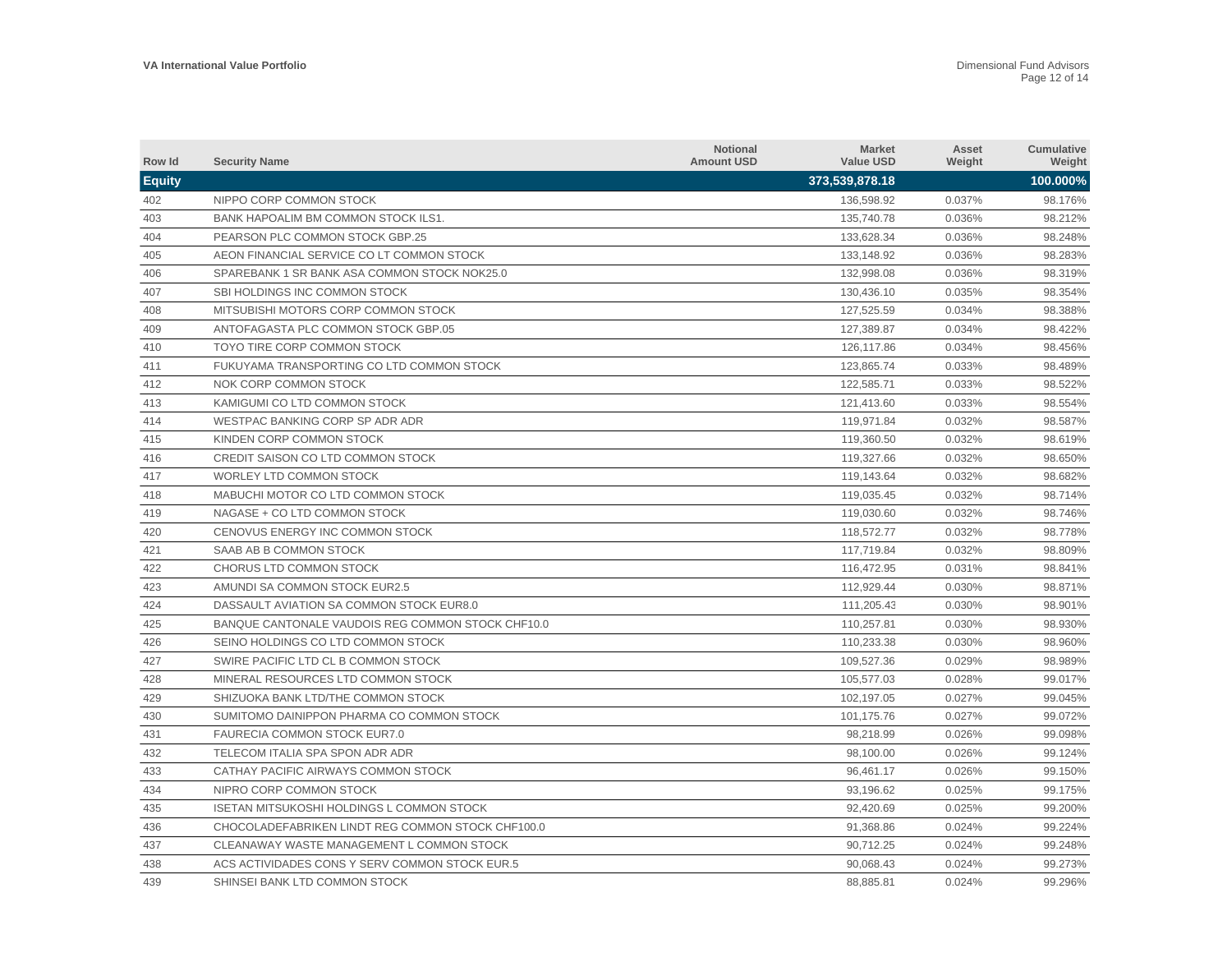| Row Id        | <b>Security Name</b>                              | <b>Notional</b><br><b>Amount USD</b> | <b>Market</b><br><b>Value USD</b> | Asset<br>Weight | Cumulative<br>Weight |
|---------------|---------------------------------------------------|--------------------------------------|-----------------------------------|-----------------|----------------------|
| <b>Equity</b> |                                                   |                                      | 373,539,878.18                    |                 | 100.000%             |
| 402           | NIPPO CORP COMMON STOCK                           |                                      | 136,598.92                        | 0.037%          | 98.176%              |
| 403           | BANK HAPOALIM BM COMMON STOCK ILS1.               |                                      | 135,740.78                        | 0.036%          | 98.212%              |
| 404           | <b>PEARSON PLC COMMON STOCK GBP.25</b>            |                                      | 133,628.34                        | 0.036%          | 98.248%              |
| 405           | AEON FINANCIAL SERVICE CO LT COMMON STOCK         |                                      | 133,148.92                        | 0.036%          | 98.283%              |
| 406           | SPAREBANK 1 SR BANK ASA COMMON STOCK NOK25.0      |                                      | 132,998.08                        | 0.036%          | 98.319%              |
| 407           | SBI HOLDINGS INC COMMON STOCK                     |                                      | 130,436.10                        | 0.035%          | 98.354%              |
| 408           | MITSUBISHI MOTORS CORP COMMON STOCK               |                                      | 127,525.59                        | 0.034%          | 98.388%              |
| 409           | ANTOFAGASTA PLC COMMON STOCK GBP.05               |                                      | 127,389.87                        | 0.034%          | 98.422%              |
| 410           | TOYO TIRE CORP COMMON STOCK                       |                                      | 126,117.86                        | 0.034%          | 98.456%              |
| 411           | FUKUYAMA TRANSPORTING CO LTD COMMON STOCK         |                                      | 123.865.74                        | 0.033%          | 98.489%              |
| 412           | NOK CORP COMMON STOCK                             |                                      | 122,585.71                        | 0.033%          | 98.522%              |
| 413           | KAMIGUMI CO LTD COMMON STOCK                      |                                      | 121,413.60                        | 0.033%          | 98.554%              |
| 414           | WESTPAC BANKING CORP SP ADR ADR                   |                                      | 119,971.84                        | 0.032%          | 98.587%              |
| 415           | KINDEN CORP COMMON STOCK                          |                                      | 119,360.50                        | 0.032%          | 98.619%              |
| 416           | CREDIT SAISON CO LTD COMMON STOCK                 |                                      | 119,327.66                        | 0.032%          | 98.650%              |
| 417           | WORLEY LTD COMMON STOCK                           |                                      | 119,143.64                        | 0.032%          | 98.682%              |
| 418           | MABUCHI MOTOR CO LTD COMMON STOCK                 |                                      | 119,035.45                        | 0.032%          | 98.714%              |
| 419           | NAGASE + CO LTD COMMON STOCK                      |                                      | 119,030.60                        | 0.032%          | 98.746%              |
| 420           | CENOVUS ENERGY INC COMMON STOCK                   |                                      | 118,572.77                        | 0.032%          | 98.778%              |
| 421           | SAAB AB B COMMON STOCK                            |                                      | 117,719.84                        | 0.032%          | 98.809%              |
| 422           | CHORUS LTD COMMON STOCK                           |                                      | 116,472.95                        | 0.031%          | 98.841%              |
| 423           | AMUNDI SA COMMON STOCK EUR2.5                     |                                      | 112.929.44                        | 0.030%          | 98.871%              |
| 424           | DASSAULT AVIATION SA COMMON STOCK EUR8.0          |                                      | 111,205.43                        | 0.030%          | 98.901%              |
| 425           | BANQUE CANTONALE VAUDOIS REG COMMON STOCK CHF10.0 |                                      | 110.257.81                        | 0.030%          | 98.930%              |
| 426           | SEINO HOLDINGS CO LTD COMMON STOCK                |                                      | 110,233.38                        | 0.030%          | 98.960%              |
| 427           | SWIRE PACIFIC LTD CL B COMMON STOCK               |                                      | 109,527.36                        | 0.029%          | 98.989%              |
| 428           | MINERAL RESOURCES LTD COMMON STOCK                |                                      | 105,577.03                        | 0.028%          | 99.017%              |
| 429           | SHIZUOKA BANK LTD/THE COMMON STOCK                |                                      | 102,197.05                        | 0.027%          | 99.045%              |
| 430           | SUMITOMO DAINIPPON PHARMA CO COMMON STOCK         |                                      | 101,175.76                        | 0.027%          | 99.072%              |
| 431           | FAURECIA COMMON STOCK EUR7.0                      |                                      | 98,218.99                         | 0.026%          | 99.098%              |
| 432           | TELECOM ITALIA SPA SPON ADR ADR                   |                                      | 98,100.00                         | 0.026%          | 99.124%              |
| 433           | CATHAY PACIFIC AIRWAYS COMMON STOCK               |                                      | 96,461.17                         | 0.026%          | 99.150%              |
| 434           | NIPRO CORP COMMON STOCK                           |                                      | 93,196.62                         | 0.025%          | 99.175%              |
| 435           | <b>ISETAN MITSUKOSHI HOLDINGS L COMMON STOCK</b>  |                                      | 92,420.69                         | 0.025%          | 99.200%              |
| 436           | CHOCOLADEFABRIKEN LINDT REG COMMON STOCK CHF100.0 |                                      | 91,368.86                         | 0.024%          | 99.224%              |
| 437           | CLEANAWAY WASTE MANAGEMENT L COMMON STOCK         |                                      | 90,712.25                         | 0.024%          | 99.248%              |
| 438           | ACS ACTIVIDADES CONS Y SERV COMMON STOCK EUR.5    |                                      | 90.068.43                         | 0.024%          | 99.273%              |
| 439           | SHINSEI BANK LTD COMMON STOCK                     |                                      | 88.885.81                         | 0.024%          | 99.296%              |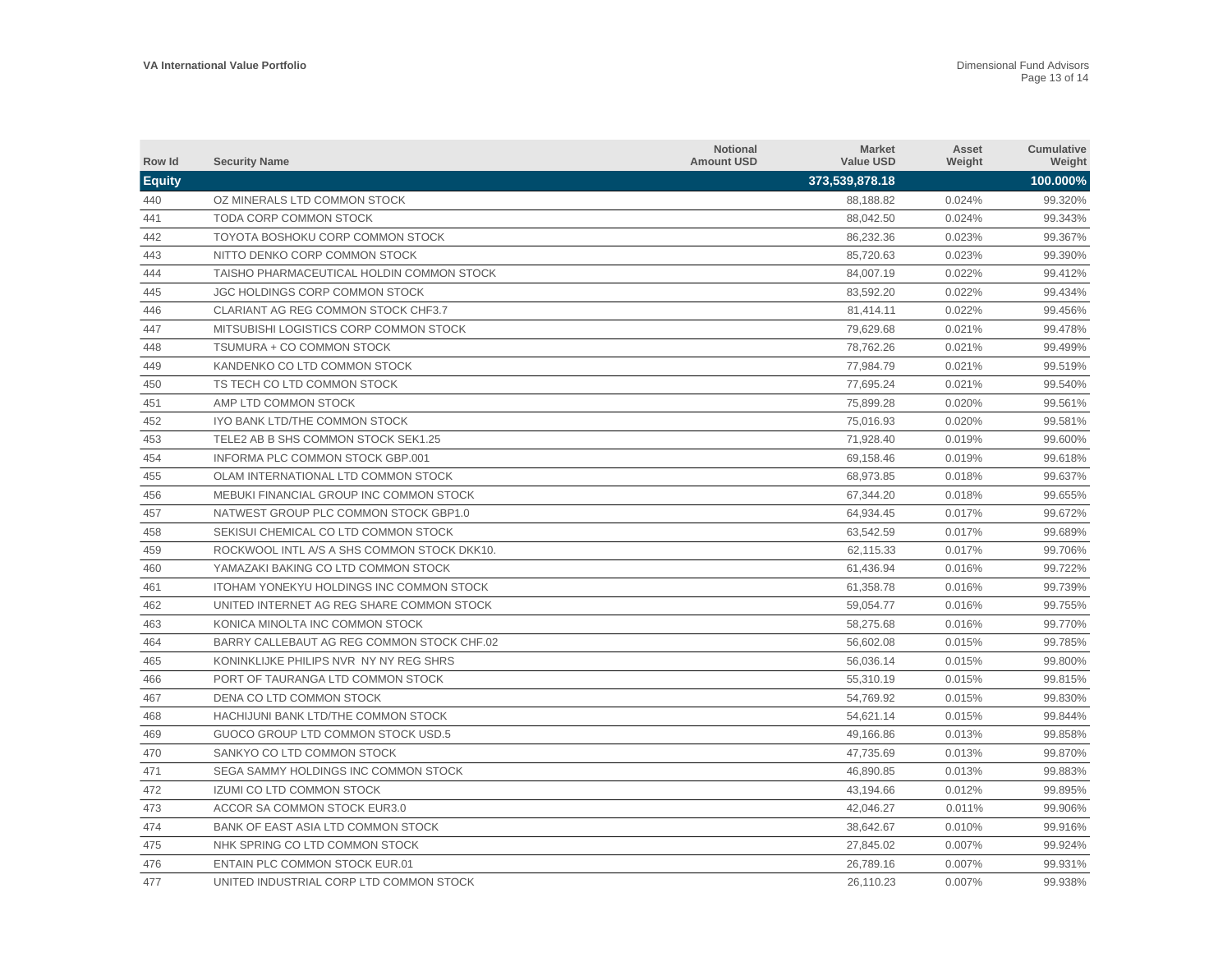| Row Id        | <b>Security Name</b>                            | <b>Notional</b><br><b>Amount USD</b> | <b>Market</b><br><b>Value USD</b> | Asset<br>Weight | Cumulative<br>Weight |
|---------------|-------------------------------------------------|--------------------------------------|-----------------------------------|-----------------|----------------------|
| <b>Equity</b> |                                                 |                                      | 373,539,878.18                    |                 | 100.000%             |
| 440           | OZ MINERALS LTD COMMON STOCK                    |                                      | 88,188.82                         | 0.024%          | 99.320%              |
| 441           | TODA CORP COMMON STOCK                          |                                      | 88,042.50                         | 0.024%          | 99.343%              |
| 442           | TOYOTA BOSHOKU CORP COMMON STOCK                |                                      | 86,232.36                         | 0.023%          | 99.367%              |
| 443           | NITTO DENKO CORP COMMON STOCK                   |                                      | 85,720.63                         | 0.023%          | 99.390%              |
| 444           | TAISHO PHARMACEUTICAL HOLDIN COMMON STOCK       |                                      | 84,007.19                         | 0.022%          | 99.412%              |
| 445           | <b>JGC HOLDINGS CORP COMMON STOCK</b>           |                                      | 83,592.20                         | 0.022%          | 99.434%              |
| 446           | CLARIANT AG REG COMMON STOCK CHF3.7             |                                      | 81,414.11                         | 0.022%          | 99.456%              |
| 447           | MITSUBISHI LOGISTICS CORP COMMON STOCK          |                                      | 79,629.68                         | 0.021%          | 99.478%              |
| 448           | TSUMURA + CO COMMON STOCK                       |                                      | 78,762.26                         | 0.021%          | 99.499%              |
| 449           | KANDENKO CO LTD COMMON STOCK                    |                                      | 77,984.79                         | 0.021%          | 99.519%              |
| 450           | TS TECH CO LTD COMMON STOCK                     |                                      | 77,695.24                         | 0.021%          | 99.540%              |
| 451           | AMP LTD COMMON STOCK                            |                                      | 75,899.28                         | 0.020%          | 99.561%              |
| 452           | IYO BANK LTD/THE COMMON STOCK                   |                                      | 75.016.93                         | 0.020%          | 99.581%              |
| 453           | TELE2 AB B SHS COMMON STOCK SEK1.25             |                                      | 71,928.40                         | 0.019%          | 99.600%              |
| 454           | INFORMA PLC COMMON STOCK GBP.001                |                                      | 69,158.46                         | 0.019%          | 99.618%              |
| 455           | OLAM INTERNATIONAL LTD COMMON STOCK             |                                      | 68.973.85                         | 0.018%          | 99.637%              |
| 456           | MEBUKI FINANCIAL GROUP INC COMMON STOCK         |                                      | 67,344.20                         | 0.018%          | 99.655%              |
| 457           | NATWEST GROUP PLC COMMON STOCK GBP1.0           |                                      | 64,934.45                         | 0.017%          | 99.672%              |
| 458           | SEKISUI CHEMICAL CO LTD COMMON STOCK            |                                      | 63,542.59                         | 0.017%          | 99.689%              |
| 459           | ROCKWOOL INTL A/S A SHS COMMON STOCK DKK10.     |                                      | 62,115.33                         | 0.017%          | 99.706%              |
| 460           | YAMAZAKI BAKING CO LTD COMMON STOCK             |                                      | 61,436.94                         | 0.016%          | 99.722%              |
| 461           | <b>ITOHAM YONEKYU HOLDINGS INC COMMON STOCK</b> |                                      | 61,358.78                         | 0.016%          | 99.739%              |
| 462           | UNITED INTERNET AG REG SHARE COMMON STOCK       |                                      | 59,054.77                         | 0.016%          | 99.755%              |
| 463           | KONICA MINOLTA INC COMMON STOCK                 |                                      | 58,275.68                         | 0.016%          | 99.770%              |
| 464           | BARRY CALLEBAUT AG REG COMMON STOCK CHF.02      |                                      | 56,602.08                         | 0.015%          | 99.785%              |
| 465           | KONINKLIJKE PHILIPS NVR NY NY REG SHRS          |                                      | 56,036.14                         | 0.015%          | 99.800%              |
| 466           | PORT OF TAURANGA LTD COMMON STOCK               |                                      | 55,310.19                         | 0.015%          | 99.815%              |
| 467           | DENA CO LTD COMMON STOCK                        |                                      | 54,769.92                         | 0.015%          | 99.830%              |
| 468           | HACHIJUNI BANK LTD/THE COMMON STOCK             |                                      | 54,621.14                         | 0.015%          | 99.844%              |
| 469           | GUOCO GROUP LTD COMMON STOCK USD.5              |                                      | 49,166.86                         | 0.013%          | 99.858%              |
| 470           | SANKYO CO LTD COMMON STOCK                      |                                      | 47,735.69                         | 0.013%          | 99.870%              |
| 471           | SEGA SAMMY HOLDINGS INC COMMON STOCK            |                                      | 46,890.85                         | 0.013%          | 99.883%              |
| 472           | <b>IZUMI CO LTD COMMON STOCK</b>                |                                      | 43,194.66                         | 0.012%          | 99.895%              |
| 473           | ACCOR SA COMMON STOCK EUR3.0                    |                                      | 42,046.27                         | 0.011%          | 99.906%              |
| 474           | BANK OF EAST ASIA LTD COMMON STOCK              |                                      | 38,642.67                         | 0.010%          | 99.916%              |
| 475           | NHK SPRING CO LTD COMMON STOCK                  |                                      | 27,845.02                         | 0.007%          | 99.924%              |
| 476           | <b>ENTAIN PLC COMMON STOCK EUR.01</b>           |                                      | 26.789.16                         | 0.007%          | 99.931%              |
| 477           | UNITED INDUSTRIAL CORP LTD COMMON STOCK         |                                      | 26.110.23                         | 0.007%          | 99.938%              |